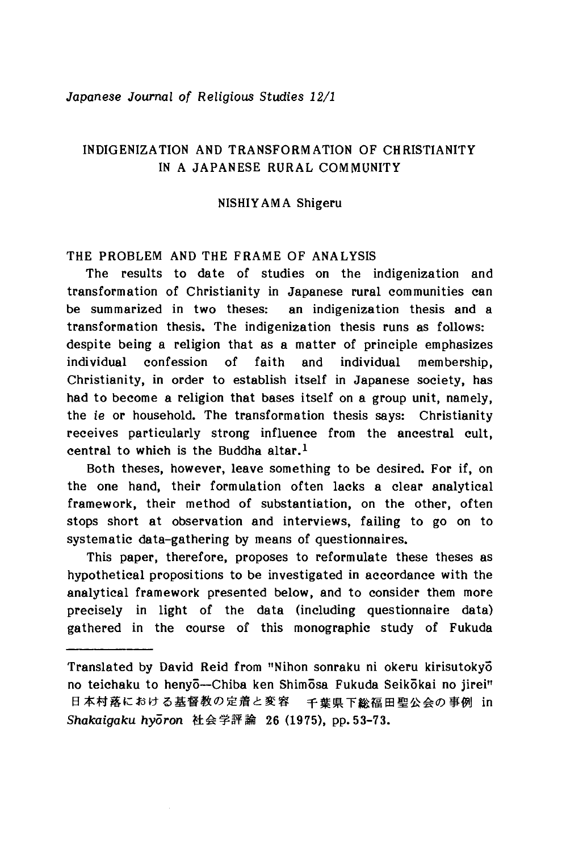### *Japanese Journal of Religious Studies 12/1*

# INDIGENIZATION AND TRANSFORMATION OF CHRISTIANITY IN A JAPANESE RURAL COMMUNITY

### NISHIYAMA Shigeru

## THE PROBLEM AND THE FRAME OF ANALYSIS

The results to date of studies on the indigenization and transformation of Christianity in Japanese rural communities can be summarized in two theses; an indigenization thesis and a transformation thesis. The indigenization thesis runs as follows: despite being a religion that as a matter of principle emphasizes individual confession of faith and individual membership, Christianity, in order to establish itself in Japanese society, has had to become a religion that bases itself on a group unit, namely, the *ie or* household. The transformation thesis says: Christianity receives particularly strong influence from the ancestral cult, central to which is the Buddha altar.<sup>1</sup>

Both theses, however, leave something to be desired. For if, on the one hand, their formulation often lacks a clear analytical framework, their method of substantiation, on the other, often stops short at observation and interviews, failing to go on to systematic data-gathering by means of questionnaires.

This paper, therefore, proposes to reformulate these theses as hypothetical propositions to be investigated in accordance with the analytical framework presented below, and to consider them more precisely in light of the data (including questionnaire data) gathered in the course of this monographic study of Fukuda

Translated by David Reid from "Nihon sonraku ni okeru kirisutokyo no teichaku to henyō—Chiba ken Shimōsa Fukuda Seikōkai no jirei" 日本村落における基督教の定着と変容 千葉県下総福田聖公会の事例 in Shakaigaku hyoron 社会学評論 26 (1975), pp. 53-73.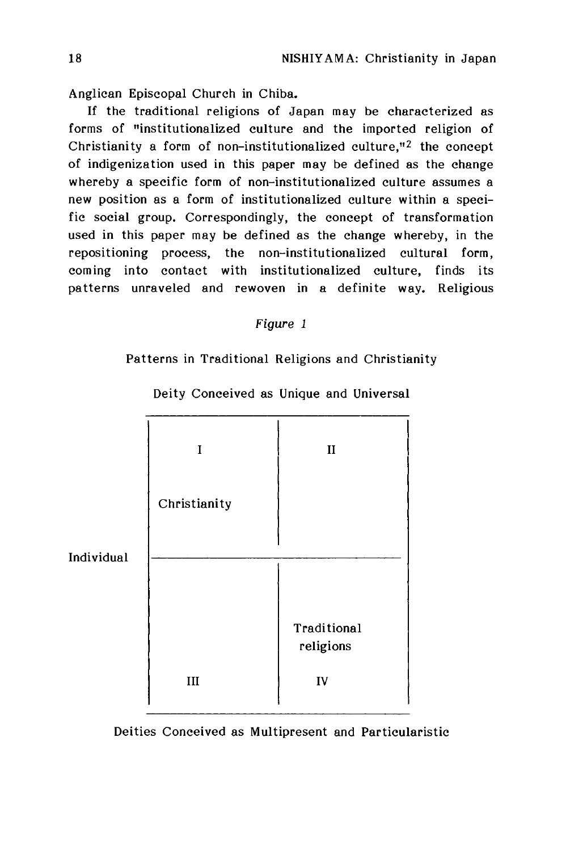Anglican Episcopal Church in Chiba.

If the traditional religions of Japan may be characterized as forms of "institutionalized culture and the imported religion of Christianity a form of non-institutionalized culture,"2 the concept of indigenization used in this paper may be defined as the change whereby a specific form of non-institutionalized culture assumes a new position as a form of institutionalized culture within a specific social group. Correspondingly, the concept of transformation used in this paper may be defined as the change whereby, in the repositioning process, the non-institutionalized cultural form, coming into contact with institutionalized culture, finds its patterns unraveled and rewoven in a definite way. Religious

## *Figure 1*

# Patterns in Traditional Religions and Christianity

|            | I            | $\mathbf{I}$ |
|------------|--------------|--------------|
|            | Christianity |              |
| Individual |              |              |
|            |              | Traditional  |
|            |              | religions    |
|            | III          | ${\bf IV}$   |

Deity Conceived as Unique and Universal

Deities Conceived as Multipresent and Particularistic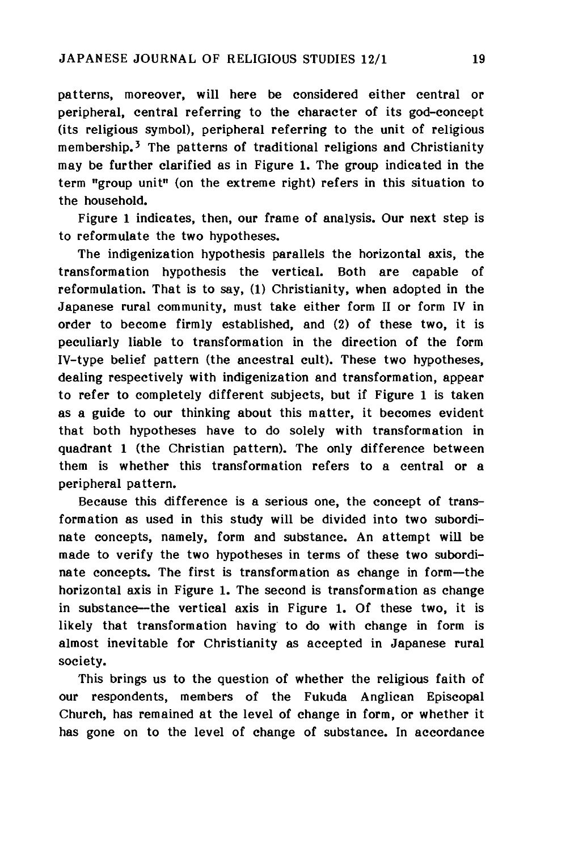patterns, moreover, will here be considered either central or peripheral, central referring to the character of its god-concept (its religious symbol), peripheral referring to the unit of religious membership.<sup>3</sup> The patterns of traditional religions and Christianity may be further clarified as in Figure 1. The group indicated in the term "group unit" (on the extreme right) refers in this situation to the household.

Figure 1 indicates, then, our frame of analysis. Our next step is to reformulate the two hypotheses.

The indigenization hypothesis parallels the horizontal axis, the transformation hypothesis the vertical. Both are capable of reformulation. That is to say,  $(1)$  Christianity, when adopted in the Japanese rural community, must take either form II or form IV in order to become firmly established, and (2) of these two, it is peculiarly liable to transformation in the direction of the form IV-type belief pattern (the ancestral cult). These two hypotheses, dealing respectively with indigenization and transformation, appear to refer to completely different subjects, but if Figure 1 is taken as a guide to our thinking about this matter, it becomes evident that both hypotheses have to do solely with transformation in quadrant 1 (the Christian pattern). The only difference between them is whether this transformation refers to a central or a peripheral pattern.

Because this difference is a serious one, the concept of transformation as used in this study will be divided into two subordinate concepts, namely, form and substance. An attempt will be made to verify the two hypotheses in terms of these two subordinate concepts. The first is transformation as change in form—the horizontal axis in Figure 1. The second is transformation as change in substance—the vertical axis in Figure 1. Of these two, it is likely that transformation having to do with change in form is almost inevitable for Christianity as accepted in Japanese rural society.

This brings us to the question of whether the religious faith of our respondents, members of the Fukuda Anglican Episcopal Church, has remained at the level of change in form, or whether it has gone on to the level of change of substance. In accordance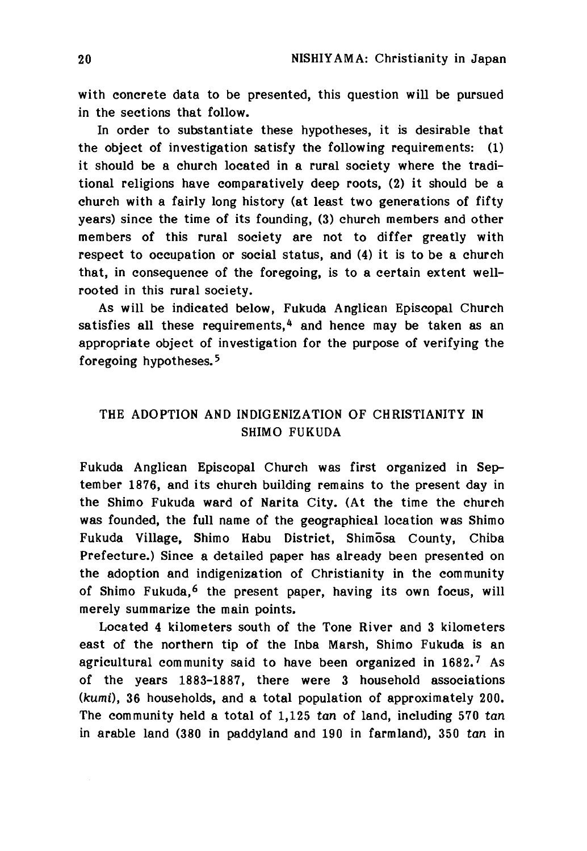with concrete data to be presented, this question will be pursued in the sections that follow.

In order to substantiate these hypotheses, it is desirable that the object of investigation satisfy the following requirements: (1) it should be a church located in a rural society where the traditional religions have comparatively deep roots, (2) it should be a church with a fairly long history (at least two generations of fifty years) since the time of its founding, (3) church members and other members of this rural society are not to differ greatly with respect to occupation or social status, and (4) it is to be a church that, in consequence of the foregoing, is to a certain extent wellrooted in this rural society.

As will be indicated below, Fukuda Anglican Episcopal Church satisfies all these requirements,  $4$  and hence may be taken as an appropriate object of investigation for the purpose of verifying the foregoing hypotheses.5

# THE ADOPTION AND INDIGENIZATION OF CHRISTIANITY IN SHIMO FUKUDA

Fukuda Anglican Episcopal Church was first organized in September 1876, and its church building remains to the present day in the Shimo Fukuda ward of Narita City. (At the time the church was founded, the full name of the geographical location was Shimo Fukuda Village, Shimo Habu District, Shimosa County, Chiba Prefecture.) Since a detailed paper has already been presented on the adoption and indigenization of Christianity in the community of Shimo Fukuda,<sup>6</sup> the present paper, having its own focus, will merely summarize the main points,

Located 4 kilometers south of the Tone River and 3 kilometers east of the northern tip of the Inba Marsh, Shimo Fukuda is an agricultural community said to have been organized in  $1682<sup>7</sup>$  As of the years 1883-1887, there were 3 household associations *(kumi)9* 36 households, and a total population of approximately 200. The community held a total of  $1,125$  tan of land, including 570 tan in arable land (380 in paddyland and 190 in farmland), 350 tan in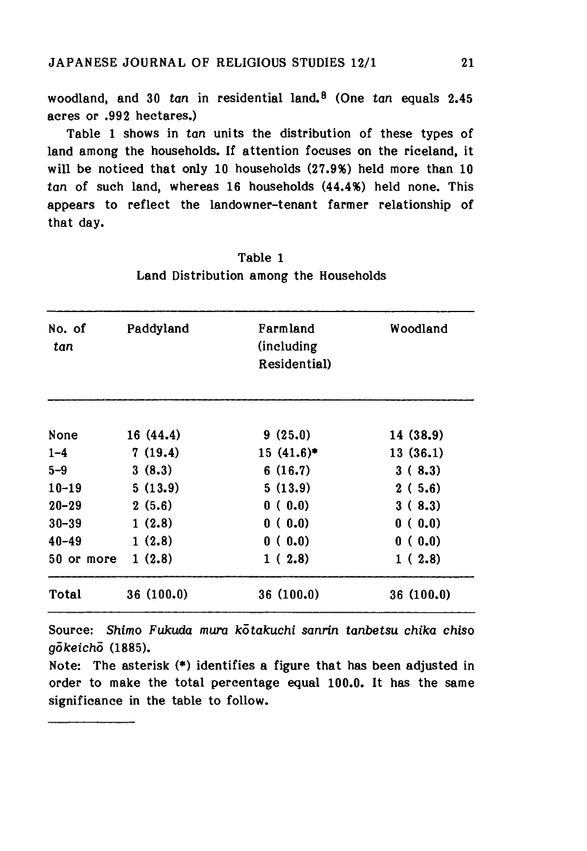woodland, and 30 *tan* in residential land.8 (One *tan* equals 2.45 acres or .992 hectares.)

Table 1 shows in *tan* units the distribution of these types of land among the households. If attention focuses on the riceland, it will be noticed that only 10 households (27.9%) held more than 10 *tan* of such land, whereas 16 households (44.4%) held none. This appears to reflect the landowner-tenant farmer relationship of that day.

| No. of<br>tan | Paddyland  | Farmland<br>(including<br>Residential) | Woodland  |
|---------------|------------|----------------------------------------|-----------|
| None          | 16 (44.4)  | 9(25.0)                                | 14 (38.9) |
| $1 - 4$       | 7(19.4)    | $15(41.6)^*$                           | 13(36.1)  |
| $5 - 9$       | 3(8.3)     | 6(16.7)                                | 3(8.3)    |
| $10 - 19$     | 5(13.9)    | 5(13.9)                                | 2(5.6)    |
| $20 - 29$     | 2(5.6)     | 0(0.0)                                 | 3(8.3)    |
| $30 - 39$     | 1(2.8)     | 0(0.0)                                 | 0(0.0)    |
| $40 - 49$     | 1(2.8)     | 0(0.0)                                 | 0(0.0)    |
| 50 or more    | 1(2.8)     | 1(2.8)                                 | 1(2.8)    |
| Total         | 36 (100.0) | 36 (100.0)                             | 36(100.0) |

Table 1 Land Distribution among the Households

Source: *Shimo Fukuda mura kotakuchi sanrin tanbetsu chika chiso gdkeicho* (1885).

Note: The asterisk (\*) identifies a figure that has been adjusted in order to make the total percentage equal 100.0. It has the same significance in the table to follow.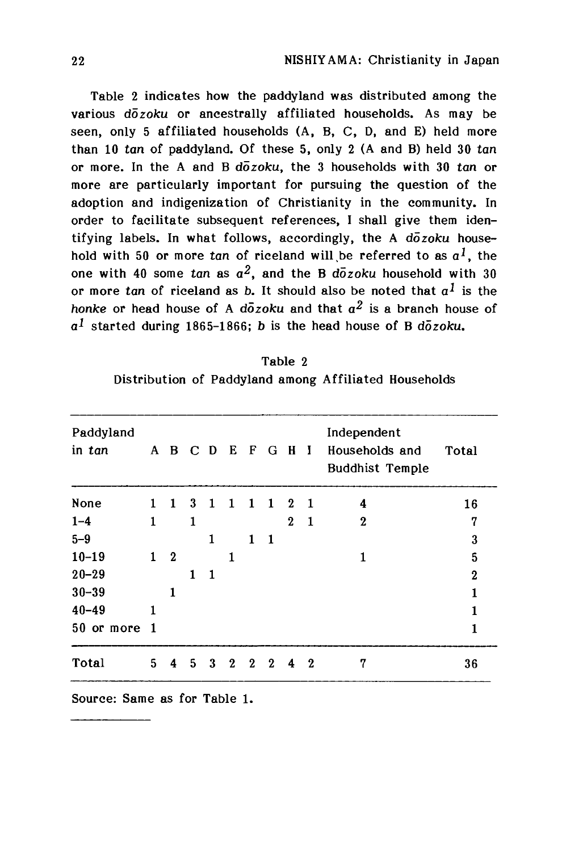Table 2 indicates how the paddyland was distributed among the various *dozoku* or ancestrally affiliated households. As may be seen, only 5 affiliated households (A, B, C, D, and E) held more than 10 tan of paddyland. Of these 5, only 2 (A and B) held 30 tan op more. In the A and B *dozoku,* the 3 households with 30 tan op more are particularly important for pursuing the question of the adoption and indigenization of Christianity in the community. In order to facilitate subsequent references, I shall give them identifying labels. In what follows, accordingly, the A *dozoku* household with 50 or more *tan* of riceland will be referred to as  $a^1$ , the one with 40 some *tan* as  $a^2$ , and the B  $d\overline{o} z$ *oku* household with 30 or more tan of riceland as *b*. It should also be noted that  $a<sup>1</sup>$  is the *honke* or head house of A *dozoku* and that  $a^2$  is a branch house of  $a<sup>1</sup>$  started during 1865-1866; *b* is the head house of B  $d\bar{o}z$ oku.

| Table 2                                               |  |  |  |  |  |  |
|-------------------------------------------------------|--|--|--|--|--|--|
| Distribution of Paddyland among Affiliated Households |  |  |  |  |  |  |

| Paddyland<br>in tan | A            | B                | C | $\mathbf{D}$ | Е        | F            | G            | - H          | $\mathbf{I}$ | Independent<br>Households and<br><b>Buddhist Temple</b> | Total        |
|---------------------|--------------|------------------|---|--------------|----------|--------------|--------------|--------------|--------------|---------------------------------------------------------|--------------|
| None                | 1            | $\mathbf{1}$     | 3 | $\mathbf{1}$ | 1        | 1            | $\mathbf{1}$ | $\mathbf{2}$ | - 1          | 4                                                       | 16           |
| $1 - 4$             | $\mathbf{1}$ |                  | 1 |              |          |              |              | $\mathbf{2}$ | -1           | $\boldsymbol{2}$                                        | 7            |
| $5 - 9$             |              |                  |   | 1            |          | 1            | $\mathbf{1}$ |              |              |                                                         | 3            |
| $10 - 19$           | $\mathbf{1}$ | $\boldsymbol{2}$ |   |              | 1        |              |              |              |              | 1                                                       | 5            |
| $20 - 29$           |              |                  | 1 | 1            |          |              |              |              |              |                                                         | $\bf{2}$     |
| $30 - 39$           |              | 1                |   |              |          |              |              |              |              |                                                         | $\mathbf{1}$ |
| $40 - 49$           | 1            |                  |   |              |          |              |              |              |              |                                                         | 1            |
| 50 or more 1        |              |                  |   |              |          |              |              |              |              |                                                         | $\mathbf{1}$ |
| Total               | 5.           | 4                | 5 | 3            | $\bf{2}$ | $\mathbf{2}$ | $\mathbf 2$  | 4            | $\bf{2}$     | 7                                                       | 36           |

Source: Same as for Table 1.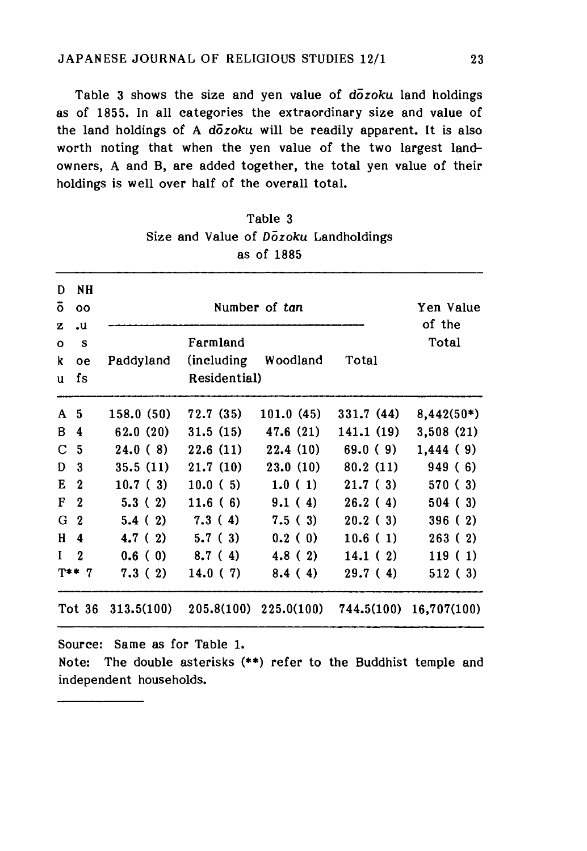Table 3 shows the size and yen value of *dozoku* land holdings as of 1855. In all categories the extraordinary size and value of the land holdings of A *dozoku* will be readily apparent. It is also worth noting that when the yen value of the two largest landowners, A and B, are added together, the total yen value of their holdings is well over half of the overall total.

| D<br>$\mathbf{o}$<br>z | NΗ<br>00<br>.u   |            | Yen Value<br>of the         |            |            |              |
|------------------------|------------------|------------|-----------------------------|------------|------------|--------------|
| $\Omega$               | S                |            | Farmland                    |            |            | Total        |
| k<br>u                 | oe<br>fs         | Paddyland  | (including)<br>Residential) | Woodland   | Total      |              |
| A                      | -5               | 158.0(50)  | 72.7(35)                    | 101.0(45)  | 331.7(44)  | $8,442(50*)$ |
| B                      | 4                | 62.0(20)   | 31.5(15)                    | 47.6(21)   | 141.1 (19) | 3,508(21)    |
| C                      | 5                | 24.0(8)    | 22.6(11)                    | 22.4(10)   | 69.0(9)    | 1,444(9)     |
| Ð                      | 3                | 35.5(11)   | 21.7(10)                    | 23.0(10)   | 80.2(11)   | 949(6)       |
| Е                      | $\boldsymbol{2}$ | 10.7(3)    | 10.0(5)                     | 1.0(1)     | 21.7(3)    | 570(3)       |
| F                      | $\mathbf 2$      | 5.3(2)     | 11.6(6)                     | 9.1(4)     | 26.2(4)    | 504(3)       |
| G                      | $\boldsymbol{2}$ | 5.4(2)     | 7.3(4)                      | 7.5(3)     | 20.2(3)    | 396(2)       |
| H                      | 4                | 4.7(2)     | 5.7(3)                      | 0.2(0)     | 10.6(1)    | 263(2)       |
| $\mathbf{I}$           | $\overline{2}$   | 0.6(0)     | 8.7(4)                      | 4.8(2)     | 14.1(2)    | 119(1)       |
|                        | $T**7$           | 7.3(2)     | 14.0(7)                     | 8.4(4)     | 29.7(4)    | 512(3)       |
|                        | Tot 36           | 313.5(100) | 205.8(100)                  | 225.0(100) | 744.5(100) | 16,707(100)  |

| Table 3 |  |  |  |            |                                       |  |
|---------|--|--|--|------------|---------------------------------------|--|
|         |  |  |  |            | Size and Value of Dozoku Landholdings |  |
|         |  |  |  | as of 1885 |                                       |  |

Source: Same as for Table 1.

Note: The double asterisks (\*\*) refer to the Buddhist temple and independent households.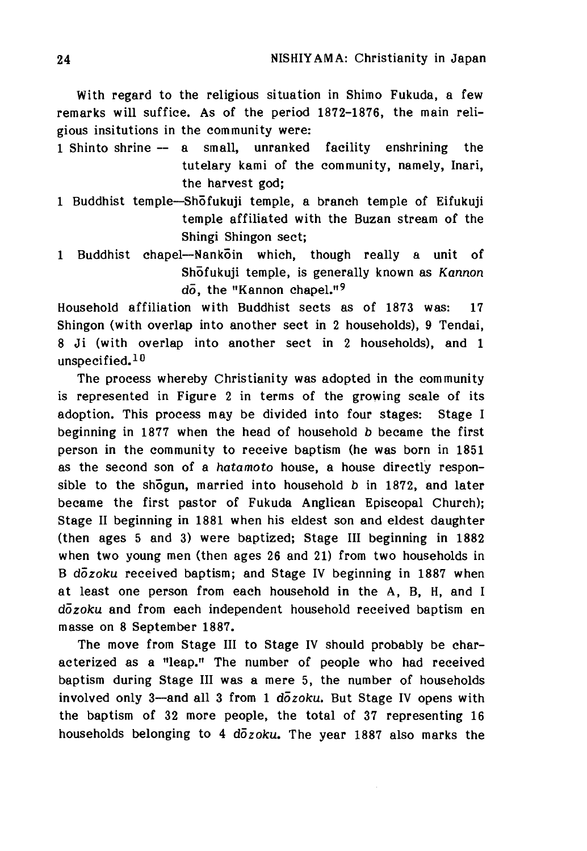With regard to the religious situation in Shimo Fukuda, a few remarks will suffice. As of the period 1872-1876, the main religious insitutions in the community were:

- 1 Shinto shrine -- a small, unranked facility enshrining the tutelary kami of the community, namely, Inari, the harvest god;
- 1 Buddhist temple—Shofukuji temple, a branch temple of Eifukuji temple affiliated with the Buzan stream of the Shingi Shingon sect;
- 1 Buddhist chapel—Nankoin which, though really a unit of Shofukuji temple, is generally known as *Kannon* do, the "Kannon chapel."<sup>9</sup>

Household affiliation with Buddhist sects as of 1873 was: 17 Shingon (with overlap into another sect in 2 households), 9 Tendai, 8 Ji (with overlap into another sect in 2 households), and 1 unspecified.<sup>10</sup>

The process whereby Christianity was adopted in the community is represented in Figure 2 in terms of the growing scale of its adoption. This process may be divided into four stages: Stage I beginning in 1877 when the head of household *b* became the first person in the community to receive baptism (he was born in 1851 as the second son of a *hatamoto* house, a house directly responsible to the shogun, married into household *b* in 1872, and later became the first pastor of Fukuda Anglican Episcopal Church); Stage II beginning in 1881 when his eldest son and eldest daughter (then ages 5 and 3) were baptized; Stage III beginning in 1882 when two young men (then ages  $26$  and  $21$ ) from two households in B *dozoku* received baptism; and Stage IV beginning in 1887 when at least one person from each household in the A, B, H, and I *dozoku* and from each independent household received baptism en masse on 8 September 1887.

The move from Stage III to Stage IV should probably be characterized as a "leap." The number of people who had received baptism during Stage III was a mere 5, the number of households involved only 3-and all 3 from 1  $d\overline{o}z$ *oku*. But Stage IV opens with the baptism of 32 more people, the total of 37 representing 16 households belonging to 4 *dozoku.* The year 1887 also marks the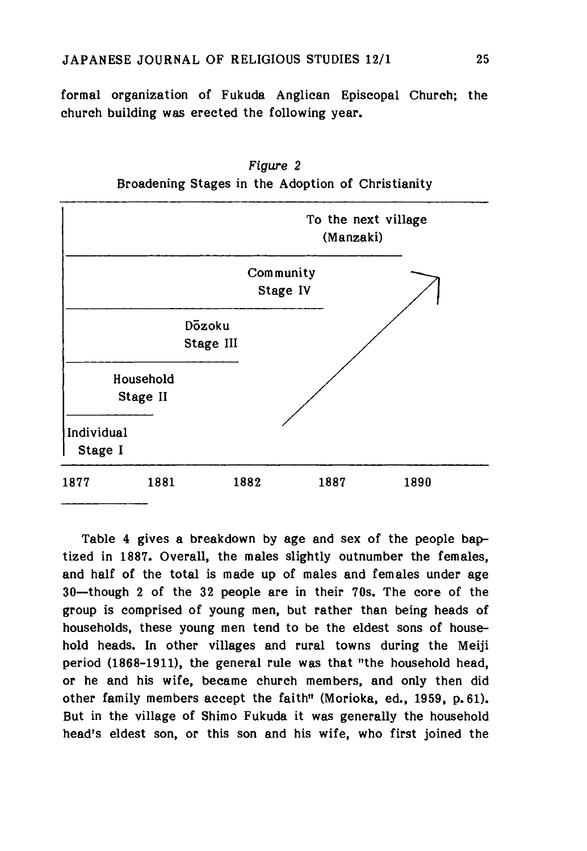formal organization of Fukuda Anglican Episcopal Church; the church building was erected the following year.



*Figure 2* Broadening Stages in the Adoption of Christianity

Table 4 gives a breakdown by age and sex of the people baptized in 1887. Overall, the males slightly outnumber the females, and half of the total is made up of males and females under age 30—though 2 of the 32 people are in their 70s. The core of the group is comprised of young men, but rather than being heads of households, these young men tend to be the eldest sons of household heads. In other villages and rural towns during the Meiji period (1868-1911), the general rule was that "the household head, or he and his wife, became church members, and only then did other family members accept the faith" (Morioka, ed., 1959, p.61). But in the village of Shimo Fukuda it was generally the household head's eldest son, or this son and his wife, who first joined the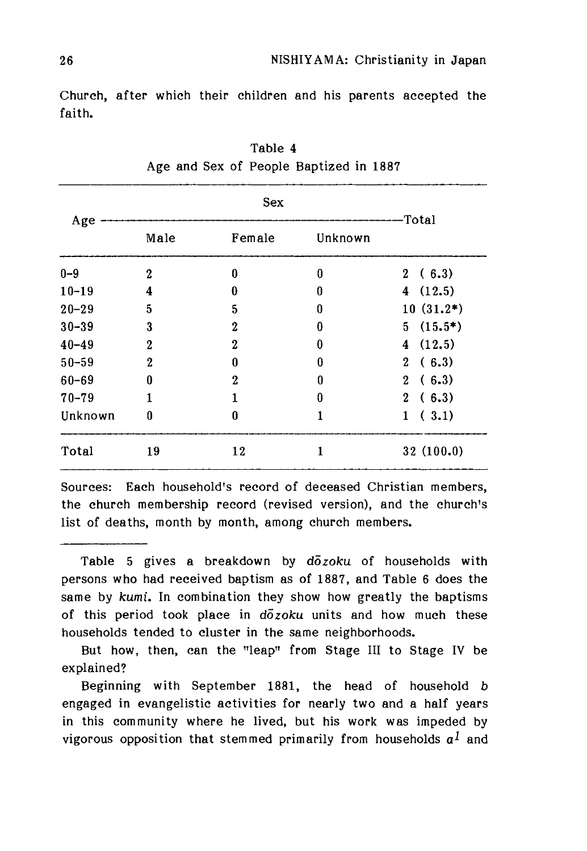Church, after which their children and his parents accepted the faith.

|           |              | <b>Sex</b>       |              |                          |  |  |
|-----------|--------------|------------------|--------------|--------------------------|--|--|
| Age       | Male         | Female           | Unknown      | Total                    |  |  |
| $0 - 9$   | $\mathbf{2}$ | $\bf{0}$         | $\bf{0}$     | (6.3)<br>$\mathbf{2}$    |  |  |
| $10 - 19$ | 4            | 0                | 0            | (12.5)<br>4              |  |  |
| $20 - 29$ | 5            | 5                | 0            | $10(31.2*)$              |  |  |
| $30 - 39$ | 3            | $\mathbf 2$      | 0            | $(15.5*)$<br>5.          |  |  |
| $40 - 49$ | $\mathbf{2}$ | $\mathbf{2}$     | 0            | (12.5)<br>$\overline{4}$ |  |  |
| $50 - 59$ | $\mathbf{2}$ | $\bf{0}$         | 0            | $2^{\circ}$<br>(6.3)     |  |  |
| $60 - 69$ | 0            | $\boldsymbol{2}$ | 0            | (6.3)<br>$\mathbf{2}$    |  |  |
| $70 - 79$ |              |                  | 0            | (6.3)<br>$2^{\circ}$     |  |  |
| Unknown   | 0            | 0                | $\mathbf{1}$ | (3.1)<br>1               |  |  |
| Total     | 19           | 12               | 1            | 32(100.0)                |  |  |

Table 4 Age and Sex of People Baptized in 1887

Sources: Each household's record of deceased Christian members, the church membership record (revised version), and the church's list of deaths, month by month, among church members.

Table 5 gives a breakdown by dozoku of households with persons who had received baptism as of 1887, and Table 6 does the same by *kumi.* In combination they show how greatly the baptisms of this period took place in *dozoku* units and how much these households tended to cluster in the same neighborhoods.

But how, then, can the "leap" from Stage III to Stage IV be explained?

Beginning with September 1881, the head of household *b* engaged in evangelistic activities for nearly two and a half years in this community where he lived, but his work was impeded by vigorous opposition that stemmed primarily from households  $a<sup>I</sup>$  and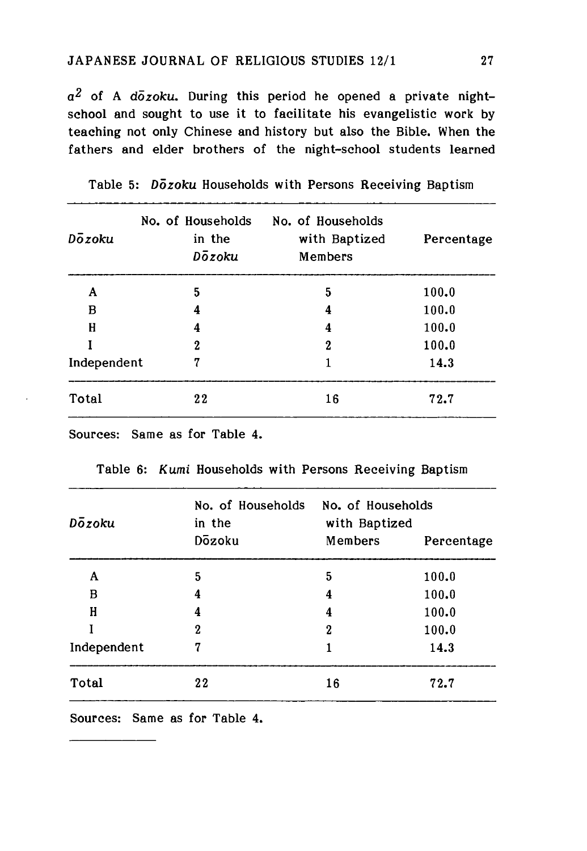$a<sup>2</sup>$  of A *dozoku*. During this period he opened a private nightschool and sought to use it to facilitate his evangelistic work by teaching not only Chinese and history but also the Bible. When the fathers and elder brothers of the night-school students learned

| Dozoku      | No. of Households<br>in the<br>Dozoku | No. of Households<br>with Baptized<br>Members | Percentage |
|-------------|---------------------------------------|-----------------------------------------------|------------|
| A           | 5                                     | 5                                             | 100.0      |
| в           | 4                                     | 4                                             | 100.0      |
| H           | 4                                     | 4                                             | 100.0      |
|             | $\boldsymbol{2}$                      | $\boldsymbol{2}$                              | 100.0      |
| Independent | 7                                     |                                               | 14.3       |
| Total       | 22                                    | 16                                            | 72.7       |

Table 5: *Dozoku* Households with Persons Receiving Baptism

Sources: Same as for Table 4.

| Dozoku      | No. of Households<br>in the<br>Dozoku | No. of Households<br>with Baptized<br>Members<br>Percentage |       |  |
|-------------|---------------------------------------|-------------------------------------------------------------|-------|--|
| A           | 5                                     | 5                                                           | 100.0 |  |
| в           | 4                                     | 4                                                           | 100.0 |  |
| Η           | 4                                     | 4                                                           | 100.0 |  |
|             | 2                                     | 2                                                           | 100.0 |  |
| Independent | 7                                     |                                                             | 14.3  |  |
| Total       | 22                                    | 16                                                          | 72.7  |  |

Table 6: Kumi Households with Persons Receiving Baptism

Sources: Same as for Table 4.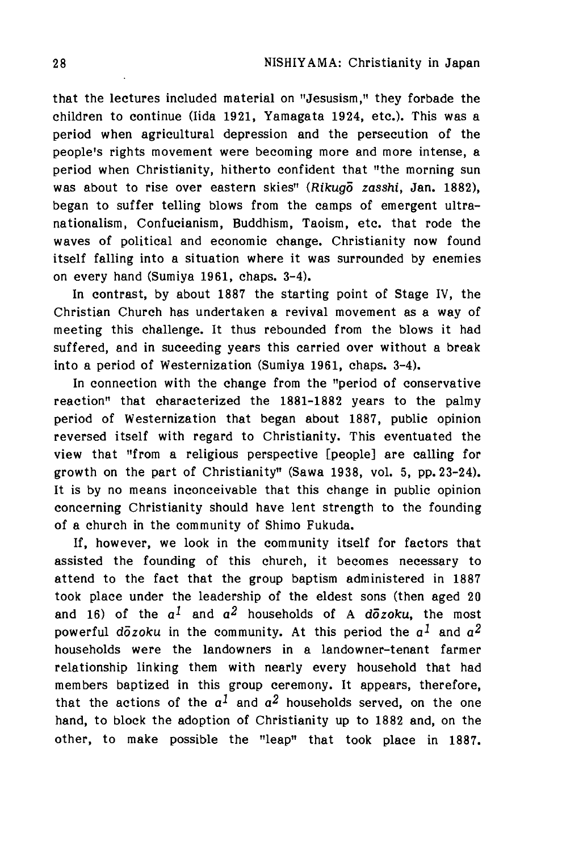that the lectures included material on "Jesusism," they forbade the children to continue (Iida 1921, Yamagata 1924, etc.). This was a period when agricultural depression and the persecution of the people's rights movement were becoming more and more intense, a period when Christianity, hitherto confident that "the morning sun was about to rise over eastern skies" (Rikugo zasshi, Jan. 1882), began to suffer telling blows from the camps of emergent ultranationalism, Confucianism, Buddhism, Taoism, etc. that rode the waves of political and economic change. Christianity now found itself falling into a situation where it was surrounded by enemies on every hand (Sumiya 1961, chaps. 3-4).

In contrast, by about 1887 the starting point of Stage IV, the Christian Church has undertaken a revival movement as a way of meeting this challenge. It thus rebounded from the blows it had suffered, and in suceeding years this carried over without a break into a period of Westernization (Sumiya 1961, chaps. 3-4).

In connection with the change from the "period of conservative reaction" that characterized the 1881-1882 years to the palmy period of Westernization that began about 1887, public opinion reversed itself with regard to Christianity. This eventuated the view that "from a religious perspective [people] are calling for growth on the part of Christianity" (Sawa 1938, vol. 5, pp. 23-24). It is by no means inconceivable that this change in public opinion concerning Christianity should have lent strength to the founding of a church in the community of Shimo Fukuda,

If, however, we look in the community itself for factors that assisted the founding of this church, it becomes necessary to attend to the fact that the group baptism administered in 1887 took place under the leadership of the eldest sons (then aged 20 and 16) of the  $a^1$  and  $a^2$  households of A  $d\bar{o}z$ oku, the most powerful  $d\bar{o}z$ oku in the community. At this period the  $a^1$  and  $a^2$ households were the landowners in a landowner-tenant farmer relationship linking them with nearly every household that had members baptized in this group ceremony. It appears, therefore, that the actions of the  $a^1$  and  $a^2$  households served, on the one hand, to block the adoption of Christianity up to 1882 and, on the other, to make possible the "leap" that took place in 1887.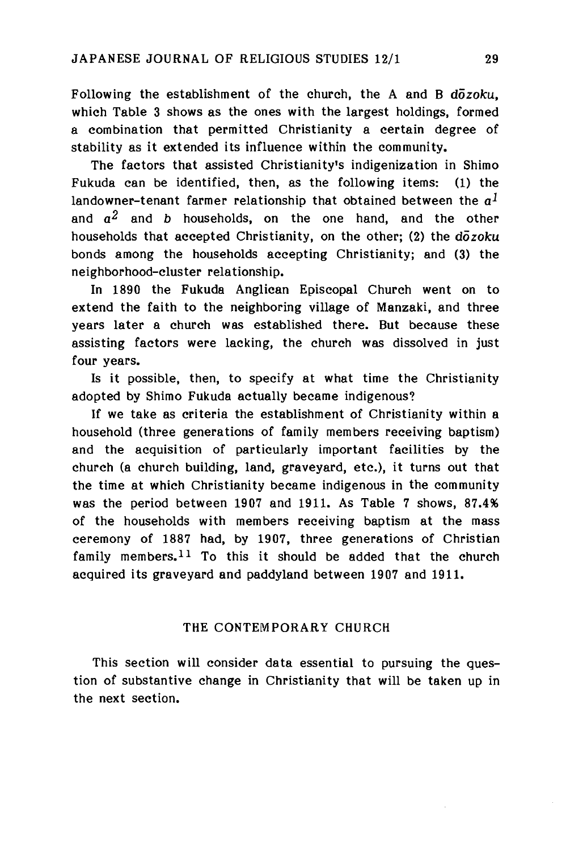Following the establishment of the church, the A and B *dozoku,* which Table 3 shows as the ones with the largest holdings, formed a combination that permitted Christianity a certain degree of stability as it extended its influence within the community.

The factors that assisted Christianity's indigenization in Shimo Fukuda can be identified, then, as the following items: (1) the landowner-tenant farmer relationship that obtained between the  $a<sup>1</sup>$ and  $a^2$  and b households, on the one hand, and the other households that accepted Christianity, on the other; (2) the *dozoku* bonds among the households accepting Christianity; and (3) the neighborhood-cluster relationship.

In 1890 the Fukuda Anglican Episcopal Church went on to extend the faith to the neighboring village of Manzaki, and three years later a church was established there. But because these assisting factors were lacking, the church was dissolved in just four years.

Is it possible, then, to specify at what time the Christianity adopted by Shimo Fukuda actually became indigenous?

If we take as criteria the establishment of Christianity within a household (three generations of family members receiving baptism) and the acquisition of particularly important facilities by the church (a church building, land, graveyard, etc.), it turns out that the time at which Christianity became indigenous in the community was the period between 1907 and 1911. As Table 7 shows, 87.4% of the households with members receiving baptism at the mass ceremony of 1887 had, by 1907, three generations of Christian family members.<sup>11</sup> To this it should be added that the church acquired its graveyard and paddyland between 1907 and 1911.

# THE CONTEMPORARY CHURCH

This section will consider data essential to pursuing the question of substantive change in Christianity that will be taken up in the next section.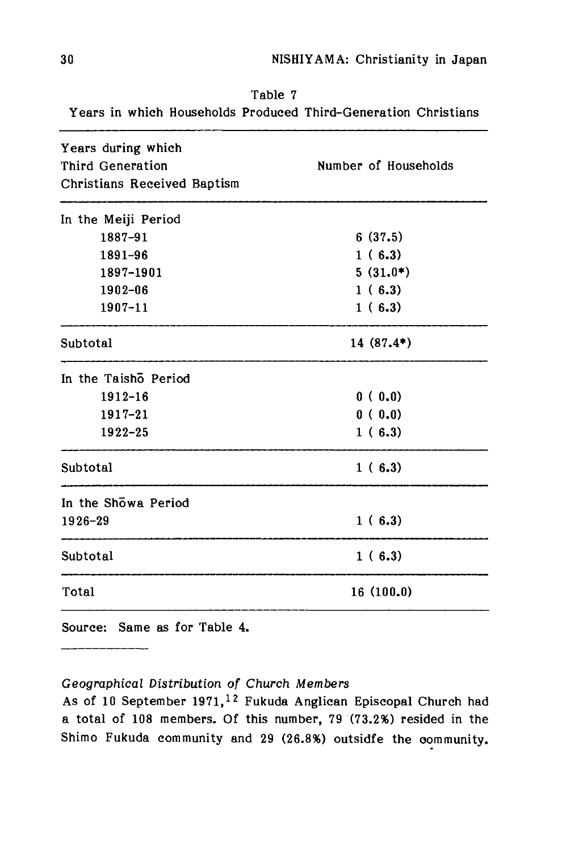# 30 NISHIYAMA: Christianity in Japan

| Table 7 |  |  |  |  |                                                                |  |
|---------|--|--|--|--|----------------------------------------------------------------|--|
|         |  |  |  |  | Years in which Households Produced Third–Generation Christians |  |

| Years during which<br>Third Generation<br>Christians Received Baptism | Number of Households |  |  |
|-----------------------------------------------------------------------|----------------------|--|--|
| In the Meiji Period                                                   |                      |  |  |
| 1887-91                                                               | 6(37.5)              |  |  |
| 1891-96                                                               | 1(6.3)               |  |  |
| 1897-1901                                                             | $5(31.0*)$           |  |  |
| 1902-06                                                               | 1(6.3)               |  |  |
| $1907 - 11$                                                           | 1(6.3)               |  |  |
| Subtotal                                                              | $14(87.4*)$          |  |  |
| In the Taisho Period                                                  |                      |  |  |
| $1912 - 16$                                                           | 0(0.0)               |  |  |
| $1917 - 21$                                                           | 0(0.0)               |  |  |
| $1922 - 25$                                                           | 1(6.3)               |  |  |
| Subtotal                                                              | 1(6.3)               |  |  |
| In the Showa Period                                                   |                      |  |  |
| 1926-29                                                               | 1(6.3)               |  |  |
| Subtotal                                                              | 1(6.3)               |  |  |
| Total                                                                 | 16(100.0)            |  |  |

Source: Same as for Table 4.

# *Geographical Distribution of Church Members*

As of 10 September 1971,<sup>12</sup> Fukuda Anglican Episcopal Church had a total of 108 members. Of this number, 79 (73.2%) resided in the Shimo Fukuda community and 29 (26-8%) outsidfe the oommunity.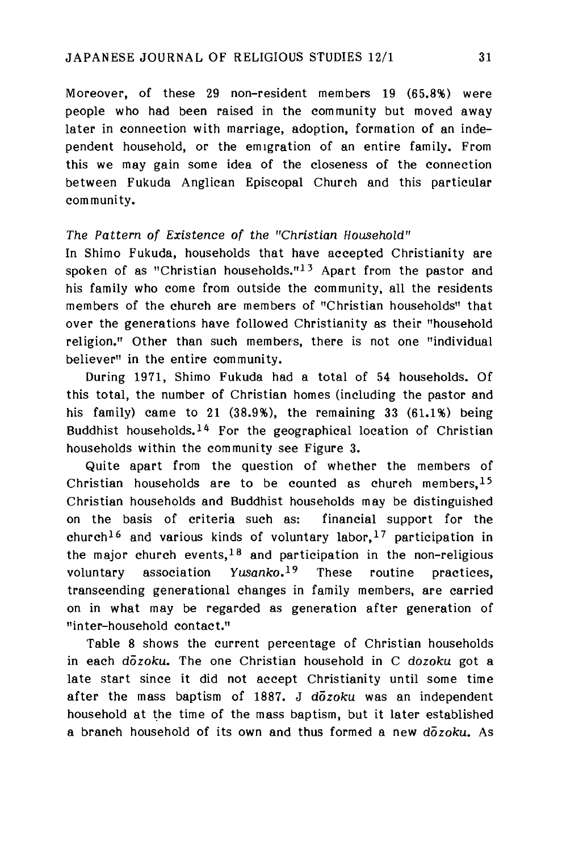Moreover, of these 29 non-resident members 19 (65.8%) were people who had been raised in the community but moved away later in connection with marriage, adoption, formation of an independent household, or the emigration of an entire family. From this we may gain some idea of the closeness of the connection between Fukuda Anglican Episcopal Church and this particular community,

## *The Pattern of Existence of the "Christian Household"*

In Shimo Fukuda, households that have accepted Christianity are spoken of as "Christian households." $13$  Apart from the pastor and his family who come from outside the community, all the residents members of the church are members of "Christian households" that over the generations have followed Christianity as their "household religion." Other than such members, there is not one "individual believer" in the entire community.

During 1971, Shimo Fukuda had a total of 54 households. Of this total, the number of Christian homes (including the pastor and his family) came to 21 (38.9%), the remaining 33 (61.1%) being Buddhist households.<sup>14</sup> For the geographical location of Christian households within the community see Figure 3.

Quite apart from the question of whether the members of Christian households are to be counted as church members,  $15$ Christian households and Buddhist households may be distinguished on the basis of criteria such as: financial support for the church<sup>16</sup> and various kinds of voluntary labor,<sup>17</sup> participation in the major church events,  $18$  and participation in the non-religious voluntary association *Yusanko.19* These routine practices, transcending generational changes in family members, are carried on in what may be regarded as generation after generation of "inter-household contact."

Table 8 shows the current percentage of Christian households in each *dozoku.* The one Christian household in C *dozoku* got a late start since it did not accept Christianity until some time after the mass baptism of 1887. J *dozoku* was an independent household at the time of the mass baptism, but it later established a branch household of its own and thus formed a new *dozoku.* As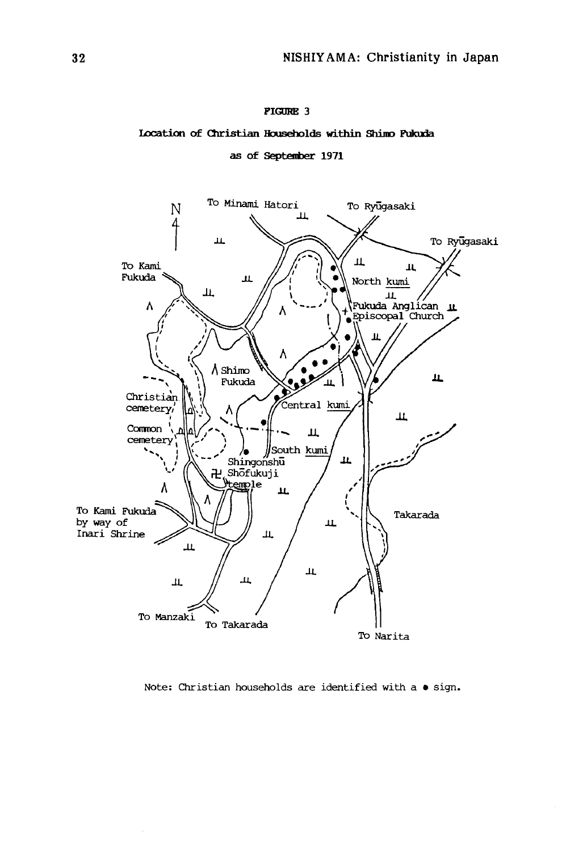#### **pigore 3**

#### **Location of Christian Households within Shimo Fukuda**

as of September 1971



**Note: Christian households are identified with a • sign.**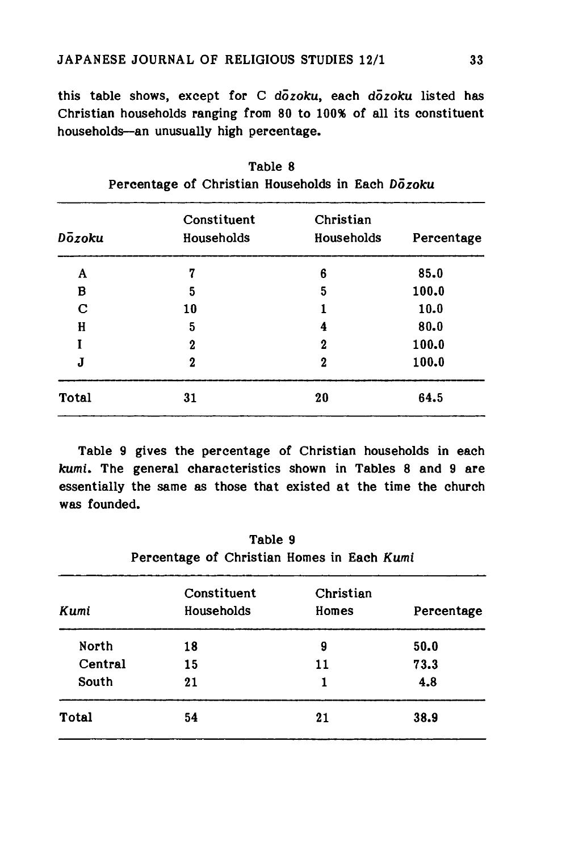this table shows, except for C dozoku, each dozoku listed has Christian households ranging from 80 to 100% of all its constituent households—an unusually high percentage.

| Dozoku       | Constituent<br>Households | Christian<br>Households | Percentage |
|--------------|---------------------------|-------------------------|------------|
| A            | 7                         | 6                       | 85.0       |
| в            | 5                         | 5                       | 100.0      |
| C            | 10                        |                         | 10.0       |
| H            | 5                         | 4                       | 80.0       |
|              | $\boldsymbol{2}$          | 2                       | 100.0      |
| J            | $\boldsymbol{2}$          | 2                       | 100.0      |
| <b>Total</b> | 31                        | 20                      | 64.5       |

Table 8 Percentage of Christian Households in Each *Dozoku*

Table 9 gives the percentage of Christian households in each kumi. The general characteristics shown in Tables 8 and 9 are essentially the same as those that existed at the time the church was founded.

| Table 9                                    |  |  |  |  |  |
|--------------------------------------------|--|--|--|--|--|
| Percentage of Christian Homes in Each Kumi |  |  |  |  |  |

| Kumi    | Constituent<br>Households | Christian<br>Homes | Percentage |
|---------|---------------------------|--------------------|------------|
| North   | 18                        | 9                  | 50.0       |
| Central | 15                        | 11                 | 73.3       |
| South   | 21                        | 1                  | 4.8        |
| Total   | 54                        | 21                 | 38.9       |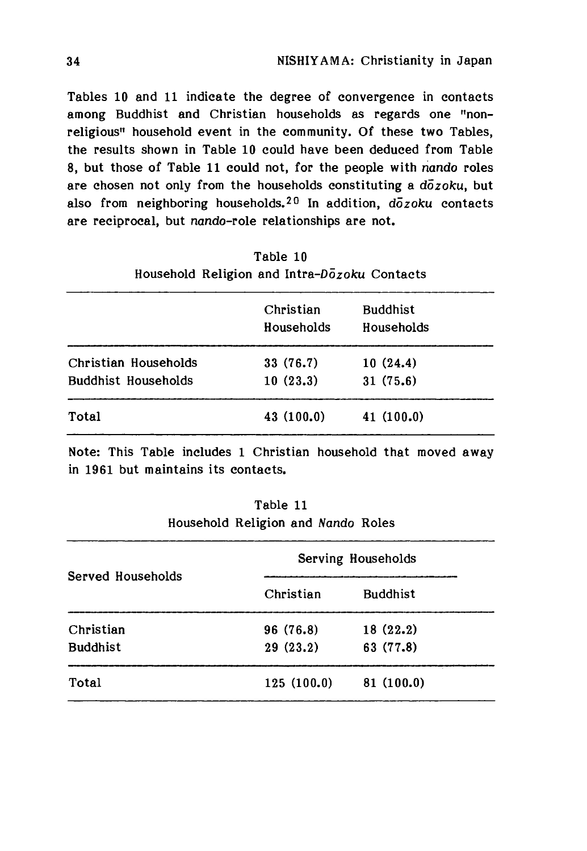Tables 10 and 11 indicate the degree of convergence in contacts among Buddhist and Christian households as regards one "nonreligious" household event in the community. Of these two Tables, the results shown in Table 10 could have been deduced from Table 8, but those of Table 11 could not, for the people with nando roles are chosen not only from the households constituting a *dozoku,* but also from neighboring households,20 In addition, *dozoku* contacts are reciprocal, but nando-role relationships are not.

|  | Table 10                                     |  |
|--|----------------------------------------------|--|
|  | Household Religion and Intra-Dozoku Contacts |  |

|                            | Christian<br>Households | <b>Buddhist</b><br>Households |  |
|----------------------------|-------------------------|-------------------------------|--|
| Christian Households       | 33 (76.7)               | 10(24.4)                      |  |
| <b>Buddhist Households</b> | 10(23.3)                | 31(75.6)                      |  |
| Total                      | 43 (100.0)              | 41(100.0)                     |  |

Note: This Table includes 1 Christian household that moved away in 1961 but maintains its contacts.

| Household Religion and Nando Roles |  |
|------------------------------------|--|
|                                    |  |

Table 11

| Served Households | Serving Households |                 |  |
|-------------------|--------------------|-----------------|--|
|                   | Christian          | <b>Buddhist</b> |  |
| Christian         | 96 (76.8)          | 18(22.2)        |  |
| <b>Buddhist</b>   | 29(23.2)           | 63 (77.8)       |  |
| Total             | 125(100.0)         | 81(100.0)       |  |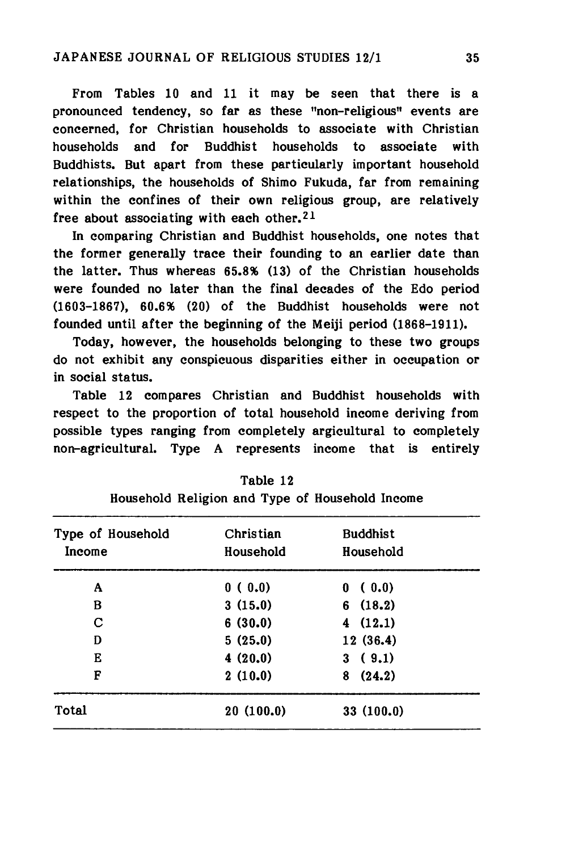From Tables 10 and 11 it may be seen that there is a pronounced tendency, so far as these "non-religious" events are concerned, for Christian households to associate with Christian households and for Buddhist households to associate with Buddhists. But apart from these particularly important household relationships, the households of Shimo Fukuda, far from remaining within the confines of their own religious group, are relatively free about associating with each other.<sup>21</sup>

In comparing Christian and Buddhist households, one notes that the former generally trace their founding to an earlier date than the latter. Thus whereas 65.8% (13) of the Christian households were founded no later than the final decades of the Edo period (1603-1867), 60.6% (20) of the Buddhist households were not founded until after the beginning of the Meiji period (1868-1911).

Today, however, the households belonging to these two groups do not exhibit any conspicuous disparities either in occupation or in social status.

Table 12 compares Christian and Buddhist households with respect to the proportion of total household income deriving from possible types ranging from completely argicultural to completely non-agricultural. Type A represents income that is entirely

| Type of Household<br>Income | Christian<br>Household | <b>Buddhist</b><br>Household |
|-----------------------------|------------------------|------------------------------|
| A                           | 0(0.0)                 | (0.0)<br>0                   |
| в                           | 3(15.0)                | 6(18.2)                      |
| C                           | 6(30.0)                | 4(12.1)                      |
| D                           | 5(25.0)                | 12(36.4)                     |
| Е                           | 4(20.0)                | 3(9.1)                       |
| F                           | 2(10.0)                | (24.2)<br>8                  |
| <b>Total</b>                | 20(100.0)              | 33(100.0)                    |

Table 12 Household Religion and Type of Household Income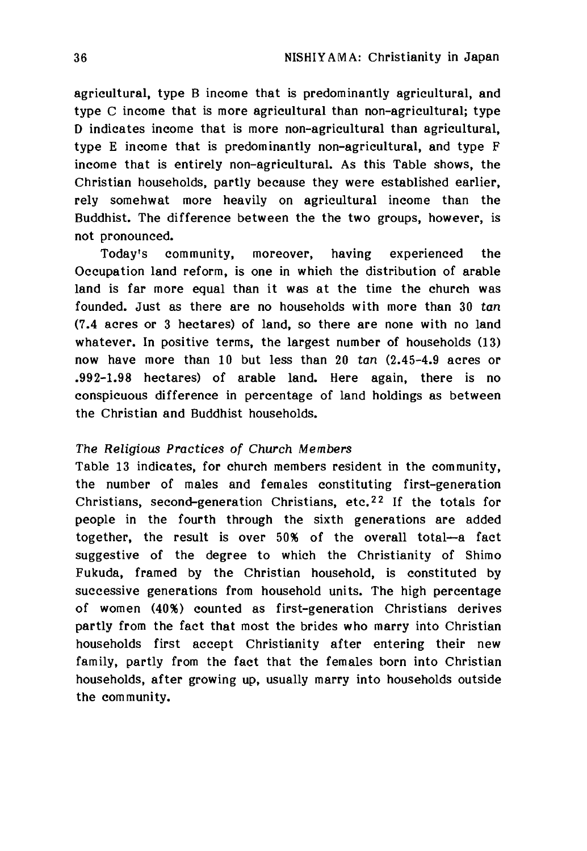agricultural, type B income that is predominantly agricultural, and type C income that is more agricultural than non-agricultural; type D indicates income that is more non-agricultural than agricultural, type E income that is predominantly non-agricultural, and type F income that is entirely non-agricultural. As this Table shows, the Christian households, partly because they were established earlier, rely somehwat more heavily on agricultural income than the Buddhist. The difference between the the two groups, however, is not pronounced.

Today's community, moreover, having experienced the Occupation land reform, is one in which the distribution of arable land is far more equal than it was at the time the church was founded. Just as there are no households with more than 30 tan (7.4 acres or 3 hectares) of land, so there are none with no land whatever. In positive terms, the largest number of households (13) now have more than 10 but less than 20 tan (2.45-4.9 acres op .992-1.98 hectares) of arable land. Here again, there is no conspicuous difference in percentage of land holdings as between the Christian and Buddhist households.

### *The Religious Practices of Church Members*

Table 13 indicates, for church members resident in the community, the number of males and females constituting first-generation Christians, second-generation Christians, etc.22 If the totals for people in the fourth through the sixth generations are added together, the result is over 50% of the overall total—a fact suggestive of the degree to which the Christianity of Shimo Fukuda, framed by the Christian household, is constituted by successive generations from household units. The high percentage of women (40%) counted as first-generation Christians derives partly from the fact that most the brides who marry into Christian households first accept Christianity after entering their new family, partly from the fact that the females born into Christian households, after growing up, usually marry into households outside the community.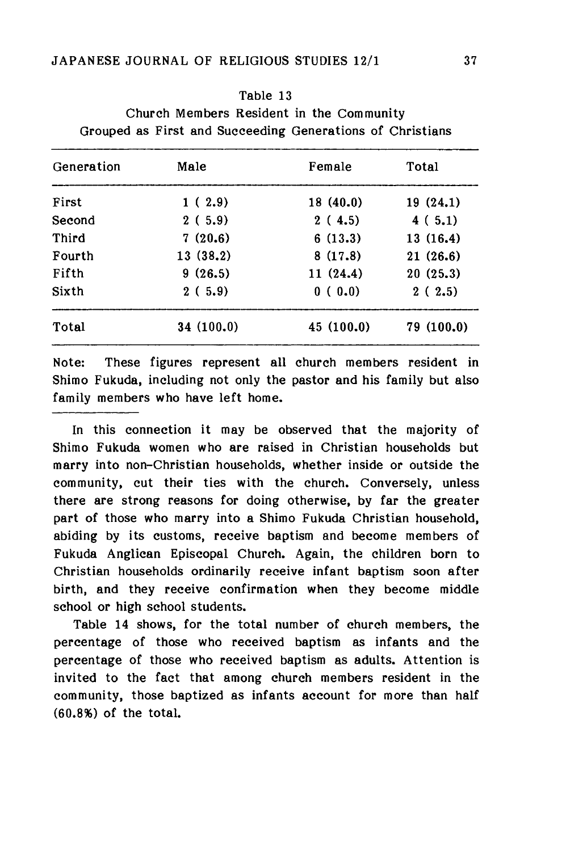## Table 13

Church Members Resident in the Community Grouped as First and Succeeding Generations of Christians

| Generation | Male      | Female    | Total     |
|------------|-----------|-----------|-----------|
| First      | 1(2.9)    | 18(40.0)  | 19(24.1)  |
| Second     | 2(5.9)    | 2(4.5)    | 4(5.1)    |
| Third      | 7(20.6)   | 6(13.3)   | 13(16.4)  |
| Fourth     | 13(38.2)  | 8(17.8)   | 21(26.6)  |
| Fifth      | 9(26.5)   | 11(24.4)  | 20(25.3)  |
| Sixth      | 2(5.9)    | 0(0.0)    | 2(2.5)    |
| Total      | 34(100.0) | 45(100.0) | 79(100.0) |

Note: These figures represent all church members resident in Shimo Fukuda, including not only the pastor and his family but also family members who have left home.

In this connection it may be observed that the majority of Shimo Fukuda women who are raised in Christian households but marry into non-Christian households, whether inside or outside the community, cut their ties with the church. Conversely, unless there are strong reasons for doing otherwise, by far the greater part of those who marry into a Shimo Fukuda Christian household, abiding by its customs, receive baptism and become members of Fukuda Anglican Episcopal Church. Again, the children born to Christian households ordinarily receive infant baptism soon after birth, and they receive confirmation when they become middle school or high school students.

Table 14 shows, for the total number of church members, the percentage of those who received baptism as infants and the percentage of those who received baptism as adults. Attention is invited to the fact that among church members resident in the community, those baptized as infants account for more than half (60.8%) of the total.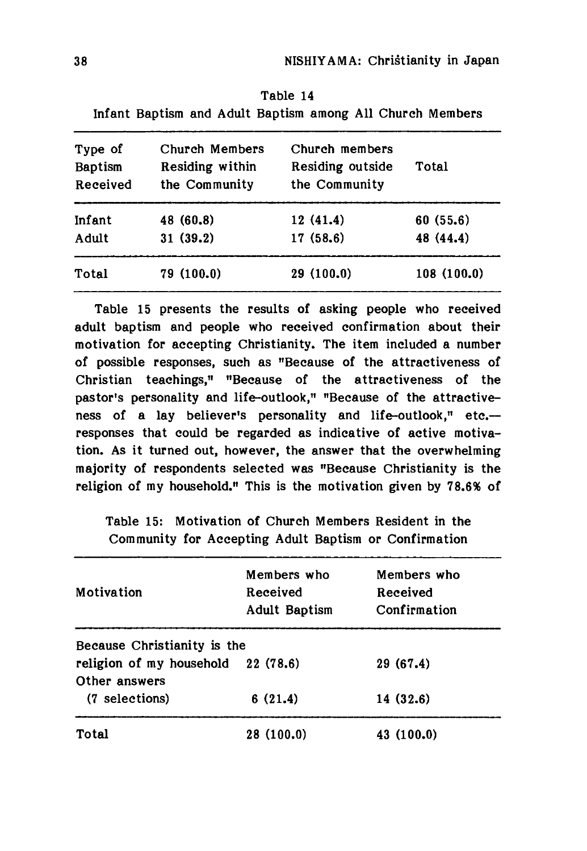| Infant Baptism and Adult Baptism among All Church Members |                 |                  |            |  |
|-----------------------------------------------------------|-----------------|------------------|------------|--|
| Type of                                                   | Church Members  | Church members   | Total      |  |
| Baptism                                                   | Residing within | Residing outside |            |  |
| Received                                                  | the Community   | the Community    |            |  |
| Infant                                                    | 48 (60.8)       | 12(41.4)         | 60(55.6)   |  |
| Adult                                                     | 31(39.2)        | 17(58.6)         | 48 (44.4)  |  |
| Total                                                     | 79(100.0)       | 29 (100.0)       | 108(100.0) |  |

Table 14

Table 15 presents the results of asking people who received adult baptism and people who received confirmation about their motivation for accepting Christianity. The item included a number of possible responses, such as "Because of the attractiveness of Christian teachings," "Because of the attractiveness of the pastor's personality and life-outlook." "Because of the attractiveness of a lay believer's personality and life-outlook." etc.-responses that could be regarded as indicative of active motivation. As it turned out, however, the answer that the overwhelming majority of respondents selected was "Because Christianity is the religion of my household." This is the motivation given by 78.6% of

Table 15: Motivation of Church Members Resident in the Community for Accepting Adult Baptism op Confirmation

| Motivation                                          | Members who<br>Received<br><b>Adult Baptism</b> | Members who<br>Received<br>Confirmation |
|-----------------------------------------------------|-------------------------------------------------|-----------------------------------------|
| Because Christianity is the                         |                                                 |                                         |
| religion of my household 22 (78.6)<br>Other answers |                                                 | 29 (67.4)                               |
| (7 selections)                                      | 6(21.4)                                         | 14(32.6)                                |
| Total                                               | 28(100.0)                                       | 43 (100.0)                              |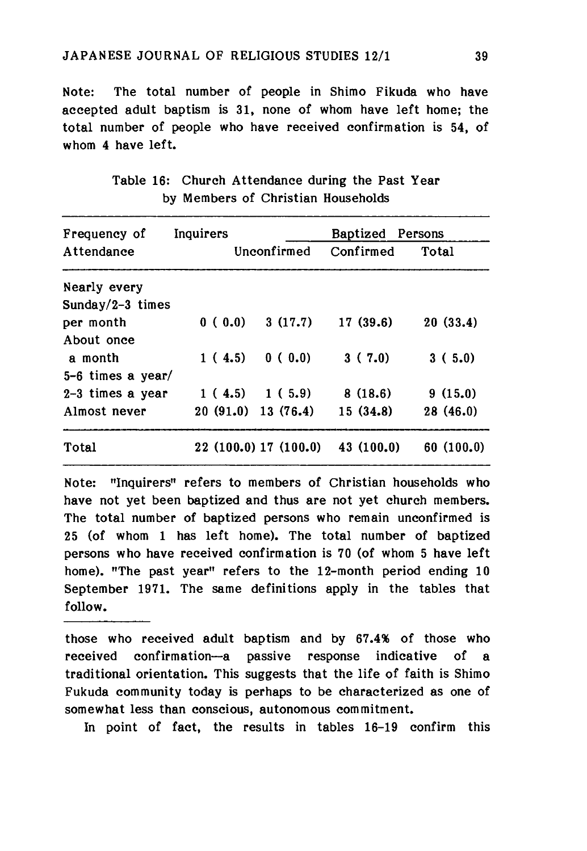Note: The total number of people in Shimo Fikuda who have accepted adult baptism is 31, none of whom have left home; the total number of people who have received confirmation is 54, of whom 4 have left.

| Frequency of      | Inquirers            |                       | <b>Baptized</b> Persons |           |
|-------------------|----------------------|-----------------------|-------------------------|-----------|
| Attendance        |                      | Unconfirmed           | Confirmed               | Total     |
| Nearly every      |                      |                       |                         |           |
| Sunday/2-3 times  |                      |                       |                         |           |
| per month         | 0(0.0)               | 3(17.7)               | 17(39.6)                | 20(33.4)  |
| About once        |                      |                       |                         |           |
| a month           | 1(4.5)               | 0(0.0)                | 3(7.0)                  | 3(5.0)    |
| 5-6 times a year/ |                      |                       |                         |           |
| 2-3 times a year  |                      | 1(4.5) 1(5.9)         | 8(18.6)                 | 9(15.0)   |
| Almost never      | $20(91.0)$ 13 (76.4) |                       | 15(34.8)                | 28 (46.0) |
| Total             |                      | 22 (100.0) 17 (100.0) | 43 (100.0)              | 60(100.0) |

Table 16: Church Attendance during the Past Year by Members of Christian Households

Note: "Inquirers" refers to members of Christian households who have not yet been baptized and thus are not yet church members. The total number of baptized persons who remain unconfirmed is 25 (of whom 1 has left home). The total number of baptized persons who have received confirmation is 70 (of whom 5 have left home). "The past year" refers to the 12-month period ending 10 September 1971. The same definitions apply in the tables that follow.

those who received adult baptism and by 67.4% of those who received confirmation—a passive response indicative of a traditional orientation. This suggests that the life of faith is Shimo Fukuda community today is perhaps to be characterized as one of somewhat less than conscious, autonomous commitment.

In point of fact, the results in tables 16-19 confirm this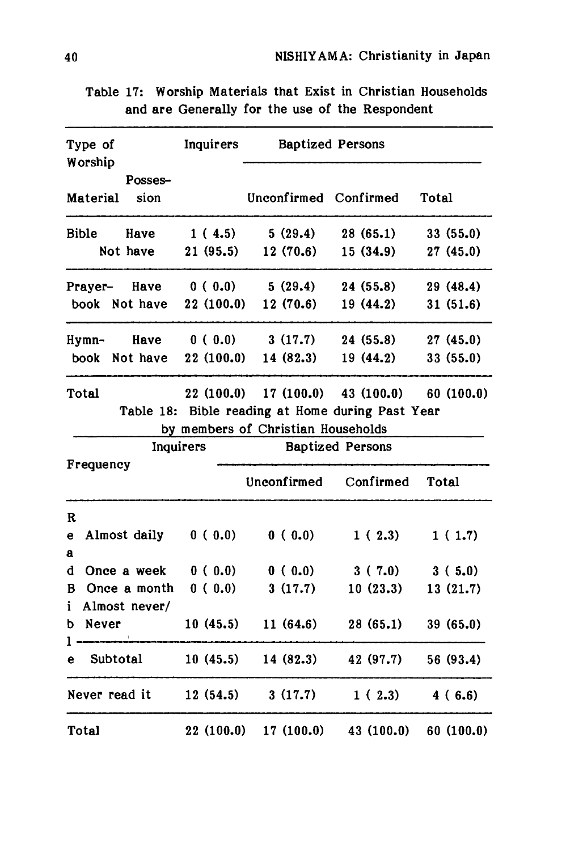| Type of<br>Worship                      | Inquirers           |                                    | <b>Baptized Persons</b>                                                               |                       |
|-----------------------------------------|---------------------|------------------------------------|---------------------------------------------------------------------------------------|-----------------------|
| Posses-<br><b>Material</b><br>sion      |                     | Unconfirmed Confirmed              |                                                                                       | Total                 |
| Bible<br>Have<br>Not have               | 1(4.5)<br>21(95.5)  | 5(29.4)<br>12(70.6)                | 28(65.1)<br>15(34.9)                                                                  | 33(55.0)<br>27(45.0)  |
|                                         |                     |                                    |                                                                                       |                       |
| Prayer-<br>Have<br>book Not have        | 0(0.0)<br>22(100.0) | 5(29.4)<br>12(70.6)                | 24(55.8)<br>19(44.2)                                                                  | 29 (48.4)<br>31(51.6) |
| Hymn-<br>Have<br>Not have<br>book       | 0(0.0)<br>22(100.0) | 3(17.7)<br>14 (82.3)               | 24(55.8)<br>19(44.2)                                                                  | 27(45.0)<br>33(55.0)  |
| Total                                   |                     | by members of Christian Households | $22(100.0)$ 17 (100.0) 43 (100.0)<br>Table 18: Bible reading at Home during Past Year | 60(100.0)             |
| Inquirers                               |                     |                                    | <b>Baptized Persons</b>                                                               |                       |
| Frequency                               |                     | Unconfirmed                        | Confirmed                                                                             | Total                 |
| R<br>Almost daily<br>e<br>$\bf{a}$      | 0(0.0)              | 0(0.0)                             | 1(2.3)                                                                                | 1(1.7)                |
| Once a week<br>d                        | 0(0.0)              | 0(0.0)                             | 3(7.0)                                                                                | 3(5.0)                |
| B<br>Once a month<br>i<br>Almost never/ | 0(0.0)              | 3(17.7)                            | 10(23.3)                                                                              | 13(21.7)              |
| Never<br>ь<br>ι.                        | 10(45.5)            | 11(64.6)                           | 28(65.1)                                                                              | 39(65.0)              |
| Subtotal<br>e                           | 10(45.5)            | 14(82.3)                           | 42 (97.7)                                                                             | 56 (93.4)             |
|                                         |                     |                                    |                                                                                       |                       |
| Never read it                           | 12(54.5)            | 3(17.7)                            | 1(2.3)                                                                                | 4(6.6)                |

Table 17: Worship Materials that Exist in Christian Households and are Generally for the use of the Respondent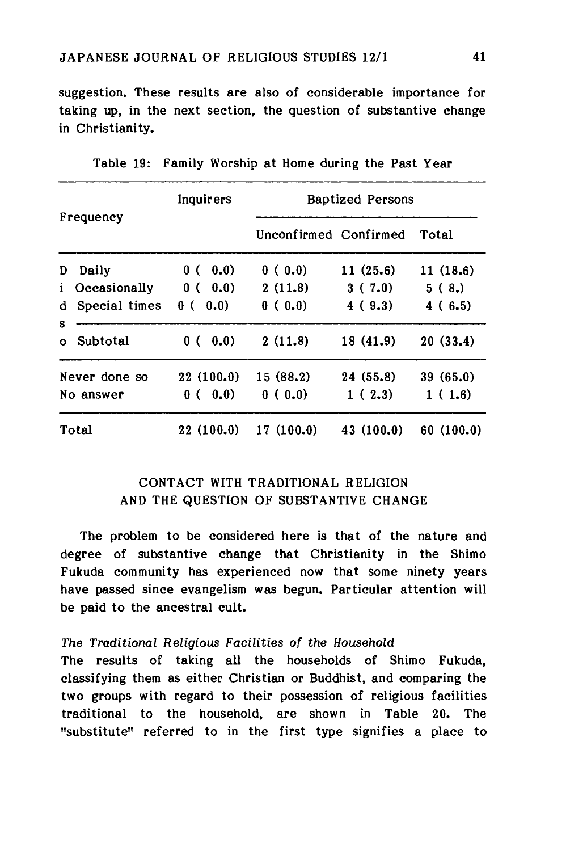suggestion. These results are also of considerable importance for taking up, in the next section, the question of substantive change in Christianity.

| Frequency     |               | Inquirers   | <b>Baptized Persons</b> |            |           |  |  |
|---------------|---------------|-------------|-------------------------|------------|-----------|--|--|
|               |               |             | Unconfirmed Confirmed   |            | Total     |  |  |
| D             | Daily         | 0.0)<br>0 ( | 0(0.0)                  | 11(25.6)   | 11(18.6)  |  |  |
| i.            | Occasionally  | 0(0.0)      | 2(11.8)                 | 3(7.0)     | 5(8.)     |  |  |
| d             | Special times | 0(0.0)      | 0(0.0)                  | 4(9.3)     | 4(6.5)    |  |  |
| s<br>$\Omega$ | Subtotal      | 0.0)<br>0 ( | 2(11.8)                 | 18 (41.9)  | 20(33.4)  |  |  |
|               | Never done so | 22(100.0)   | 15(88.2)                | 24(55.8)   | 39(65.0)  |  |  |
|               | No answer     | 0(0.0)      | 0(0.0)                  | 1(2.3)     | 1(1.6)    |  |  |
|               | Total         | 22(100.0)   | 17(100.0)               | 43 (100.0) | 60(100.0) |  |  |

Table 19: Family Worship at Home during the Past Year

# CONTACT WITH TRADITIONAL RELIGION AND THE QUESTION OF SUBSTANTIVE CHANGE

The problem to be considered here is that of the nature and degree of substantive change that Christianity in the Shimo Fukuda community has experienced now that some ninety years have passed since evangelism was begun. Particular attention will be paid to the ancestral cult.

### *The Traditional Religious Facilities of the Household*

The results of taking all the households of Shimo Fukuda, classifying them as either Christian or Buddhist, and comparing the two groups with regard to their possession of religious facilities traditional to the household, are shown in Table 20. The "substitute" referred to in the first type signifies a place to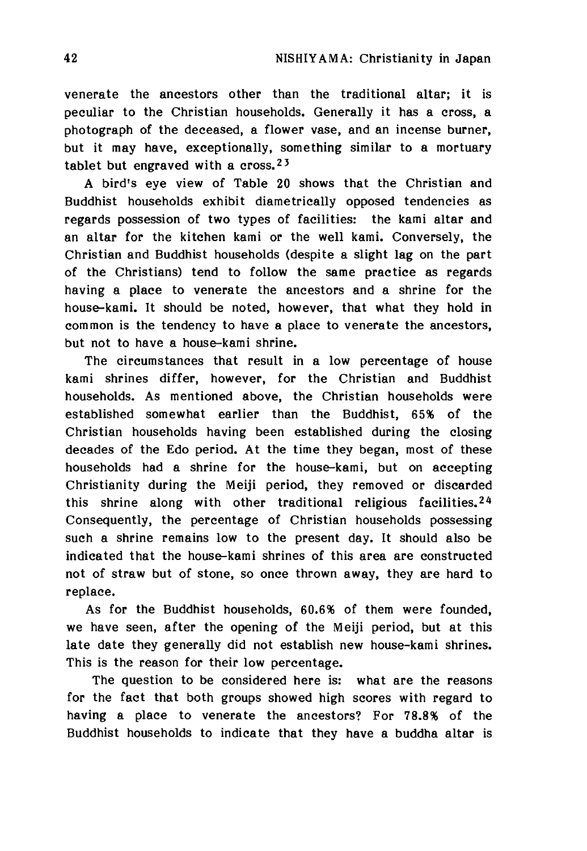venerate the ancestors other than the traditional altar; it is peculiar to the Christian households. Generally it has a cross, a photograph of the deceased, a flower vase, and an incense burner, but it may have, exceptionally, something similar to a mortuary tablet but engraved with a cross.<sup>23</sup>

A bird's eye view of Table 20 shows that the Christian and Buddhist households exhibit diametrically opposed tendencies as regards possession of two types of facilities: the kami altar and an altar for the kitchen kami or the well kami. Conversely, the Christian and Buddhist households (despite a slight lag on the part of the Christians) tend to follow the same practice as regards having a place to venerate the ancestors and a shrine for the house-kami. It should be noted, however, that what they hold in common is the tendency to have a place to venerate the ancestors, but not to have a house-kami shrine.

The circumstances that result in a low percentage of house kami shrines differ, however, for the Christian and Buddhist households. As mentioned above, the Christian households were established somewhat earlier than the Buddhist, 65% of the Christian households having been established during the closing decades of the Edo period. At the time they began, most of these households had a shrine for the house-kami, but on accepting Christianity during the Meiji period, they removed or discarded this shrine along with other traditional religious facilities.24 Consequently, the percentage of Christian households possessing such a shrine remains low to the present day. It should also be indicated that the house-kami shrines of this area are constructed not of straw but of stone, so once thrown away, they are hard to replace.

As for the Buddhist households, 60.6% of them were founded, we have seen, after the opening of the Meiji period, but at this late date they generally did not establish new house-kami shrines. This is the reason for their low percentage.

The question to be considered here is: what are the reasons for the fact that both groups showed high scores with regard to having a place to venerate the ancestors? For 78.8% of the Buddhist households to indicate that they have a buddha altar is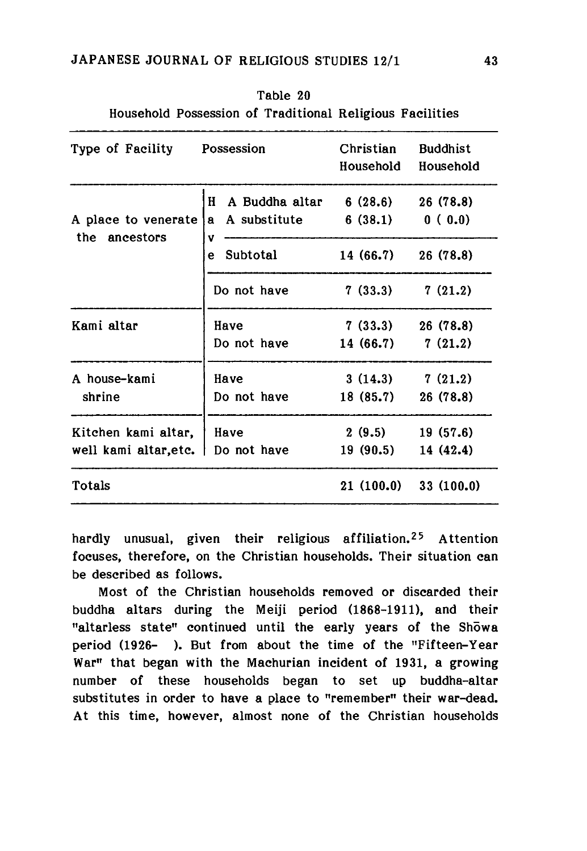| Type of Facility Possession                   |                                       | Christian<br>Household          | <b>Buddhist</b><br>Household |  |
|-----------------------------------------------|---------------------------------------|---------------------------------|------------------------------|--|
| A place to venerate                           | H<br>A Buddha altar<br>a A substitute | 6(28.6)<br>6(38.1) 0(0.0)       | 26 (78.8)                    |  |
| the ancestors                                 | v<br>Subtotal<br>e                    | 14 (66.7)                       | 26 (78.8)                    |  |
|                                               | Do not have                           | 7(33.3)                         | 7(21.2)                      |  |
| Kami altar                                    | Have<br>Do not have                   | 7(33.3)<br>14 (66.7)            | 26(78.8)<br>7(21.2)          |  |
| A house-kami<br>Have<br>shrine<br>Do not have |                                       | 3(14.3)<br>18(85.7)             | 7(21.2)<br>26 (78.8)         |  |
| Kitchen kami altar,<br>well kami altar, etc.  | Have<br>Do not have                   | $2(9.5)$ 19 (57.6)<br>19 (90.5) | 14 (42.4)                    |  |
| Totals                                        |                                       | 21(100.0)                       | 33(100.0)                    |  |

Table 20 Household Possession of Traditional Religious Facilities

hardly unusual, given their religious affiliation.25 Attention focuses, therefore, on the Christian households. Their situation can be described as follows.

Most of the Christian households removed or discarded their buddha altars during the Meiji period (1868-1911), and their "altarless state" continued until the early years of the Showa period (1926- ). But from about the time of the "Fifteen-Year War" that began with the Machurian incident of 1931, a growing number of these households began to set up buddha-altar substitutes in order to have a place to "remember" their war-dead. At this time, however, almost none of the Christian households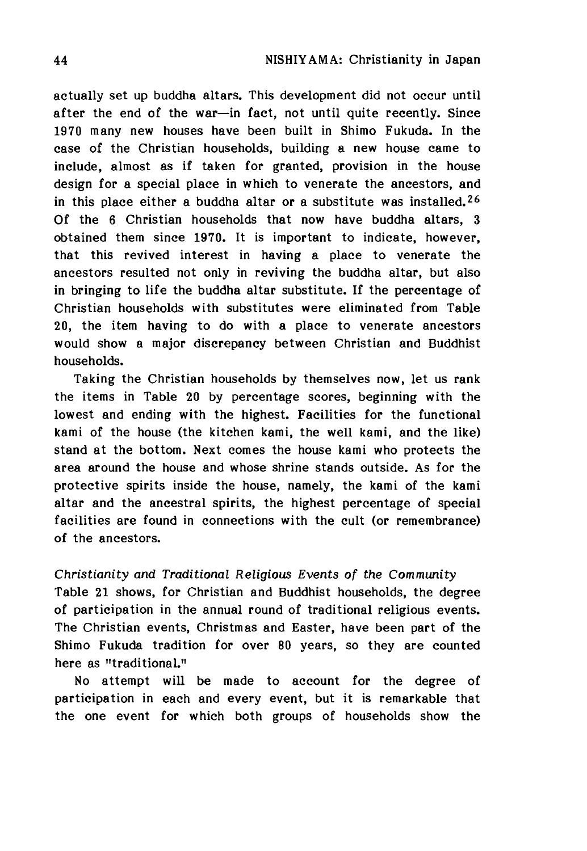actually set up buddha altars. This development did not occur until after the end of the war—in fact, not until quite recently. Since 1970 many new houses have been built in Shimo Fukuda. In the case of the Christian households, building a new house came to include, almost as if taken for granted, provision in the house design for a special place in which to venerate the ancestors, and in this place either a buddha altar or a substitute was installed.<sup>26</sup> Of the 6 Christian households that now have buddha altars, 3 obtained them since 1970. It is important to indicate, however, that this revived interest in having a place to venerate the ancestors resulted not only in reviving the buddha altar, but also in bringing to life the buddha altar substitute. If the percentage of Christian households with substitutes were eliminated from Table 20, the item having to do with a place to venerate ancestors would show a major discrepancy between Christian and Buddhist households.

Taking the Christian households by themselves now, let us rank the items in Table 20 by percentage scores, beginning with the lowest and ending with the highest. Facilities for the functional kami of the house (the kitchen kami, the well kami, and the like) stand at the bottom. Next comes the house kami who protects the area around the house and whose shrine stands outside. As for the protective spirits inside the house, namely, the kami of the kami altar and the ancestral spirits, the highest percentage of special facilities are found in connections with the cult (or remembrance) of the ancestors.

*Christianity and Traditional Religious Events of the Community* Table 21 shows, for Christian and Buddhist households, the degree of participation in the annual round of traditional religious events. The Christian events, Christmas and Easter, have been part of the Shimo Fukuda tradition for over 80 years, so they are counted here as "traditional."

No attempt will be made to account for the degree of participation in each and every event, but it is remarkable that the one event for which both groups of households show the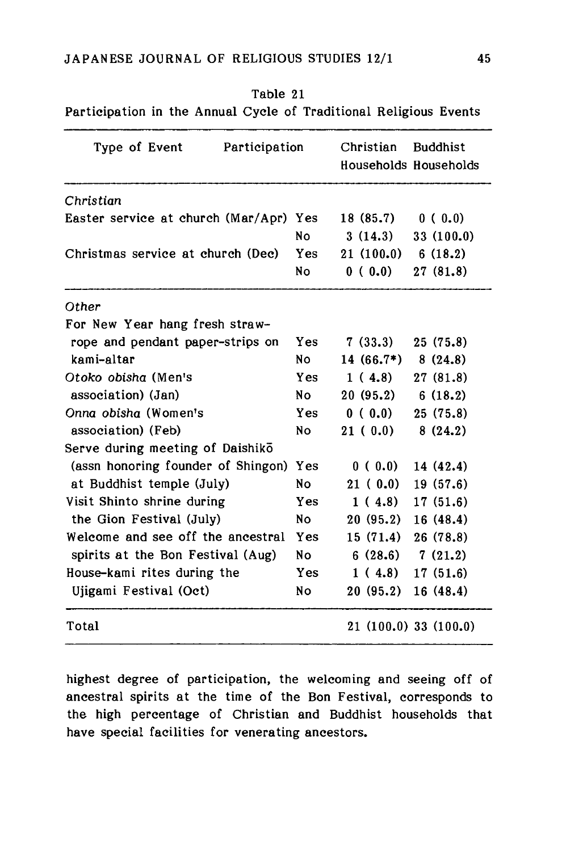Table 21

| Participation in the Annual Cycle of Traditional Religious Events |            |                                          |                    |  |  |
|-------------------------------------------------------------------|------------|------------------------------------------|--------------------|--|--|
| Participation<br>Type of Event                                    | Christian  | <b>Buddhist</b><br>Households Households |                    |  |  |
|                                                                   |            |                                          |                    |  |  |
| Christian                                                         |            |                                          |                    |  |  |
| Easter service at church (Mar/Apr) Yes                            |            | 18(85.7)                                 | 0(0.0)             |  |  |
|                                                                   | <b>No</b>  | 3(14.3)                                  | 33 (100.0)         |  |  |
| Christmas service at church (Dec)                                 | Yes        | 21(100.0)                                | 6(18.2)            |  |  |
|                                                                   | <b>No</b>  | 0(0.0)                                   | 27(81.8)           |  |  |
| Other                                                             |            |                                          |                    |  |  |
| For New Year hang fresh straw-                                    |            |                                          |                    |  |  |
| rope and pendant paper-strips on                                  | <b>Yes</b> | 7(33.3)                                  | 25(75.8)           |  |  |
| kami-altar                                                        | No         | $14(66.7*)$                              | 8(24.8)            |  |  |
| Otoko obisha (Men's                                               | Y es       | 1(4.8)                                   | 27(81.8)           |  |  |
| association) (Jan)                                                | No         | 20(95.2)                                 | 6(18.2)            |  |  |
| Onna obisha (Women's                                              | Yes        | 0(0.0)                                   | 25 (75.8)          |  |  |
| association) (Feb)                                                | No         | 21(0.0)                                  | 8(24.2)            |  |  |
| Serve during meeting of Daishiko                                  |            |                                          |                    |  |  |
| (assn honoring founder of Shingon)                                | Yes        | 0(0.0)                                   | 14 (42.4)          |  |  |
| at Buddhist temple (July)                                         | <b>No</b>  | 21(0.0)                                  | 19 (57.6)          |  |  |
| Visit Shinto shrine during                                        | <b>Yes</b> | 1(4.8)                                   | 17(51.6)           |  |  |
| the Gion Festival (July)                                          | No         | 20(95.2)                                 | 16 (48.4)          |  |  |
| Welcome and see off the ancestral                                 | Yes        | 15(71.4)                                 | 26 (78.8)          |  |  |
| spirits at the Bon Festival (Aug)                                 | <b>No</b>  | 6(28.6)                                  | 7(21.2)            |  |  |
| House-kami rites during the                                       | <b>Yes</b> | 1(4.8)                                   | 17(51.6)           |  |  |
| Ujigami Festival (Oct)                                            | <b>No</b>  | 20(95.2)                                 | 16 (48.4)          |  |  |
| Total                                                             |            |                                          | 21(100.0)33(100.0) |  |  |

highest degree of participation, the welcoming and seeing off of ancestral spirits at the time of the Bon Festival, corresponds to the high percentage of Christian and Buddhist households that have special facilities for venerating ancestors.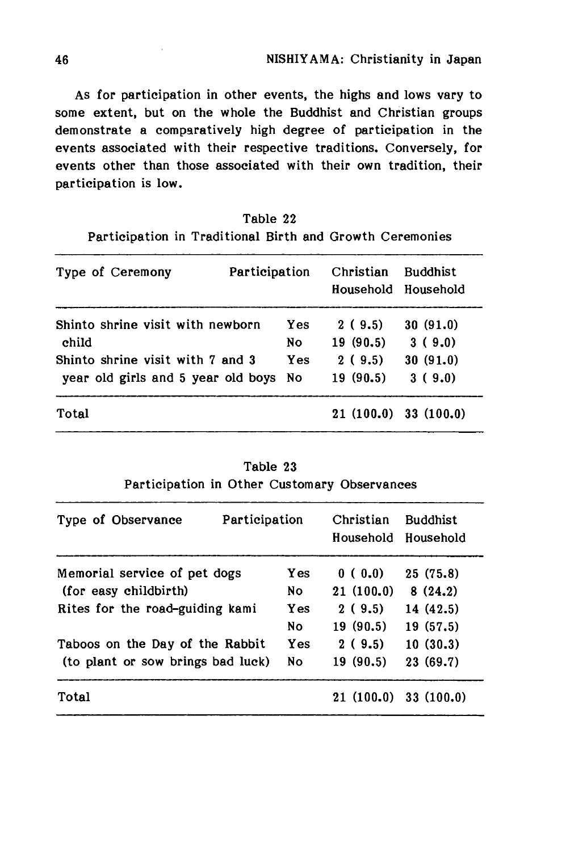As for participation in other events, the highs and lows vary to some extent, but on the whole the Buddhist and Christian groups demonstrate a comparatively high degree of participation in the events associated with their respective traditions. Conversely, for events other than those associated with their own tradition, their participation is low.

| Table 22                                                 |  |  |  |  |  |  |  |
|----------------------------------------------------------|--|--|--|--|--|--|--|
| Participation in Traditional Birth and Growth Ceremonies |  |  |  |  |  |  |  |

| Type of Ceremony                   | Participation | Christian<br><b>Buddhist</b><br>Household Household |                          |
|------------------------------------|---------------|-----------------------------------------------------|--------------------------|
| Shinto shrine visit with newborn   | Yes           | 2(9.5)                                              | 30(91.0)                 |
| child                              | No            | 19(90.5)                                            | 3(9.0)                   |
| Shinto shrine visit with 7 and 3   | Yes           | 2(9.5)                                              | 30(91.0)                 |
| year old girls and 5 year old boys | Nο            | 19 (90.5)                                           | 3(9.0)                   |
| Total                              |               |                                                     | $21(100.0)$ 33 $(100.0)$ |

|                                              | Table 23 |  |
|----------------------------------------------|----------|--|
| Participation in Other Customary Observances |          |  |

 $\sim$  100  $\mu$ 

 $\sim$   $\sim$ 

| Type of Observance                | Participation | Christian | <b>Buddhist</b><br>Household Household |  |
|-----------------------------------|---------------|-----------|----------------------------------------|--|
| Memorial service of pet dogs      | <b>Yes</b>    | 0(0.0)    | 25(75.8)                               |  |
| (for easy childbirth)             | Nο            | 21(100.0) | 8(24.2)                                |  |
| Rites for the road-guiding kami   | <b>Yes</b>    | 2(9.5)    | 14 (42.5)                              |  |
|                                   | <b>No</b>     | 19(90.5)  | 19(57.5)                               |  |
| Taboos on the Day of the Rabbit   | Yes           | 2(9.5)    | 10(30.3)                               |  |
| (to plant or sow brings bad luck) | No            | 19(90.5)  | 23(69.7)                               |  |
| Total                             |               |           | $21(100.0)$ 33 (100.0)                 |  |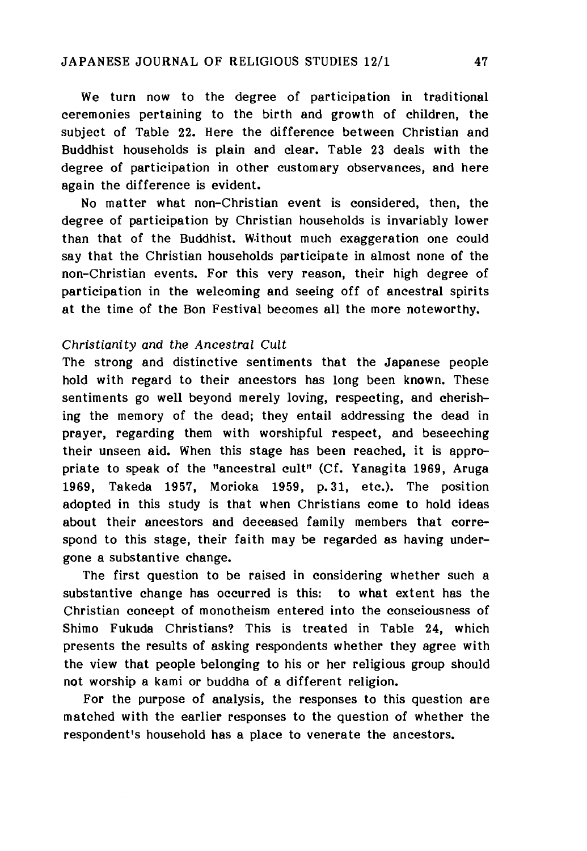We turn now to the degree of participation in traditional ceremonies pertaining to the birth and growth of children, the subject of Table 22. Here the difference between Christian and Buddhist households is plain and clear. Table 23 deals with the degree of participation in other customary observances, and here again the difference is evident.

No matter what non-Christian event is considered, then, the degree of participation by Christian households is invariably lower than that of the Buddhist. Without much exaggeration one could say that the Christian households participate in almost none of the non-Christian events. For this very reason, their high degree of participation in the welcoming and seeing off of ancestral spirits at the time of the Bon Festival becomes all the more noteworthy.

### Christianity and *the Ancestral Cult*

The strong and distinctive sentiments that the Japanese people hold with regard to their ancestors has long been known. These sentiments go well beyond merely loving, respecting, and cherishing the memory of the dead; they entail addressing the dead in prayer, regarding them with worshipful respect, and beseeching their unseen aid. When this stage has been reached, it is appropriate to speak of the "ancestral cult" (Cf. Yanagita 1969, Aruga 1969, Takeda 1957, Morioka 1959, p.31, etc.). The position adopted in this study is that when Christians come to hold ideas about their ancestors and deceased family members that correspond to this stage, their faith may be regarded as having undergone a substantive change.

The first question to be raised in considering whether such a substantive change has occurred is this: to what extent has the Christian concept of monotheism entered into the consciousness of Shimo Fukuda Christians? This is treated in Table 24, which presents the results of asking respondents whether they agree with the view that people belonging to his or her religious group should not worship a kami or buddha of a different religion.

For the purpose of analysis, the responses to this question are matched with the earlier responses to the question of whether the respondent's household has a place to venerate the ancestors.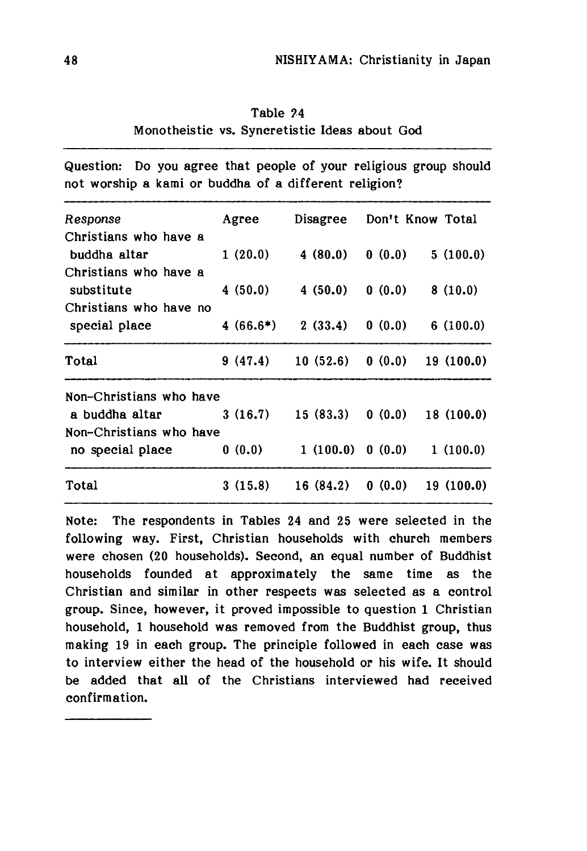Table ?4 Monotheistic vs. Syncretistic Ideas about God

Question: Do you agree that people of your religious group should not worship a kami or buddha of a different religion?

| Response                                | Agree      | Disagree  | Don't Know Total |           |
|-----------------------------------------|------------|-----------|------------------|-----------|
| Christians who have a<br>buddha altar   | 1(20.0)    | 4(80.0)   | 0(0.0)           | 5(100.0)  |
| Christians who have a<br>substitute     | 4 (50.0)   | 4(50.0)   | 0(0.0)           | 8(10.0)   |
| Christians who have no<br>special place | $4(66.6*)$ | 2(33.4)   | 0(0.0)           | 6(100.0)  |
| Total                                   | 9(47.4)    | 10(52.6)  | 0(0.0)           | 19(100.0) |
| Non-Christians who have                 |            |           |                  |           |
| a buddha altar                          | 3(16.7)    | 15 (83.3) | 0(0.0)           | 18(100.0) |
| Non-Christians who have                 |            |           |                  |           |
| no special place                        | 0(0.0)     | 1(100.0)  | 0(0.0)           | 1(100.0)  |
| Total                                   | 3(15.8)    | 16(84.2)  | 0(0.0)           | 19(100.0) |

Note: The respondents in Tables 24 and 25 were selected in the following way. First, Christian households with church members were chosen (20 households). Second, an equal number of Buddhist households founded at approximately the same time as the Christian and similar in other respects was selected as a control group. Since, however, it proved impossible to question 1 Christian household,1 household was removed from the Buddhist group, thus making 19 in each group. The principle followed in each case was to interview either the head of the household or his wife. It should be added that all of the Christians interviewed had received confirmation.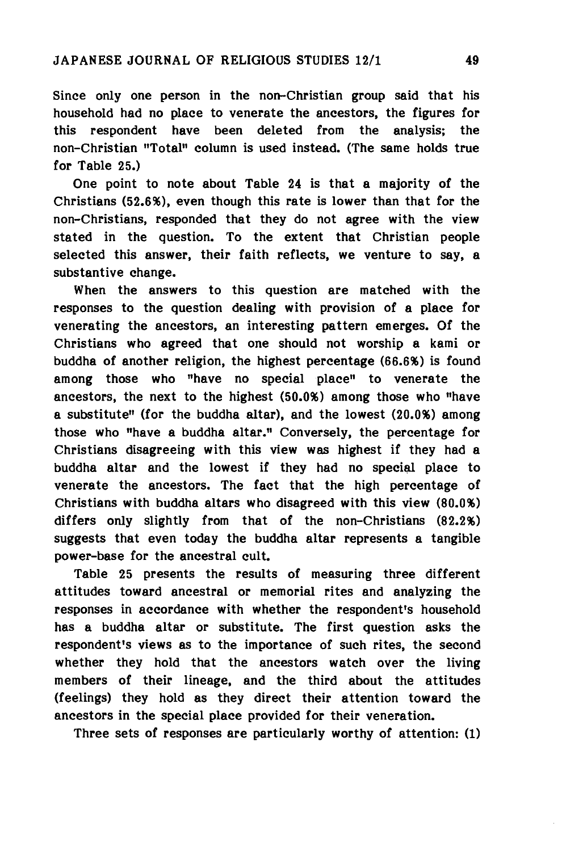Since only one person in the non-Christian group said that his household had no place to venerate the ancestors, the figures for this respondent have been deleted from the analysis; the non-Christian "Total" column is used instead. (The same holds true for Table 25.)

One point to note about Table 24 is that a majority of the Christians (52.6%), even though this rate is lower than that for the non-Christians, responded that they do not agree with the view stated in the question. To the extent that Christian people selected this answer, their faith reflects, we venture to say, a substantive change.

When the answers to this question are matched with the responses to the question dealing with provision of a place for venerating the ancestors, an interesting pattern emerges. Of the Christians who agreed that one should not worship a kami or buddha of another religion, the highest percentage (66.6%) is found among those who "have no special place" to venerate the ancestors, the next to the highest (50.0%) among those who "have a substitute" (for the buddha altar), and the lowest (20.0%) among those who "have a buddha altar." Conversely, the percentage for Christians disagreeing with this view was highest if they had a buddha altar and the lowest if they had no special place to venerate the ancestors. The fact that the high percentage of Christians with buddha altars who disagreed with this view (80.0%) differs only slightly from that of the non-Christians (82.2%) suggests that even today the buddha altar represents a tangible power-base for the ancestral cult.

Table 25 presents the results of measuring three different attitudes toward ancestral or memorial rites and analyzing the responses in accordance with whether the respondent's household has a buddha altar or substitute. The first question asks the respondent's views as to the importance of such rites, the second whether they hold that the ancestors watch over the living members of their lineage, and the third about the attitudes (feelings) they hold as they direct their attention toward the ancestors in the special place provided for their veneration.

Three sets of responses are particularly worthy of attention:(1)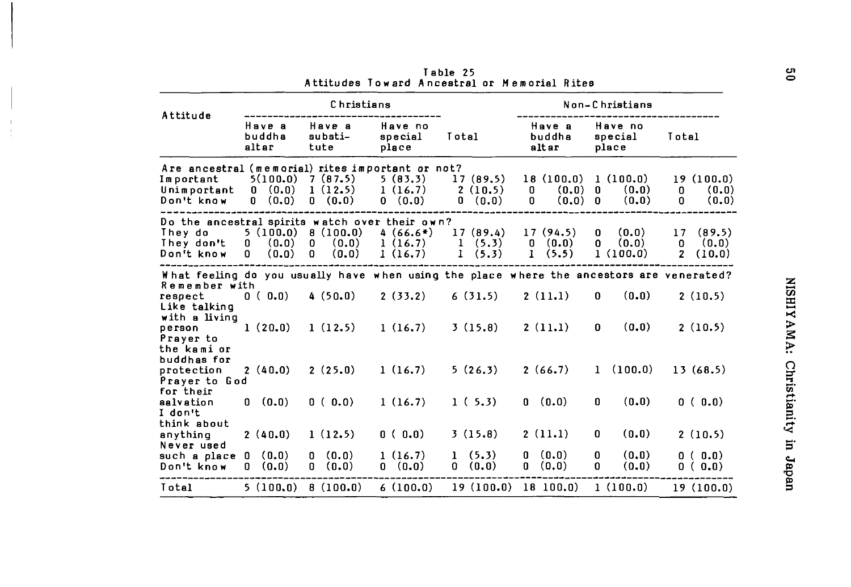|                                                                                                                                                                 |                                             | Christians                                  |                                  |                                                 |                                                 | Non-Christians                                |                                                        |
|-----------------------------------------------------------------------------------------------------------------------------------------------------------------|---------------------------------------------|---------------------------------------------|----------------------------------|-------------------------------------------------|-------------------------------------------------|-----------------------------------------------|--------------------------------------------------------|
| Attitude                                                                                                                                                        | Have a<br>buddha<br>altar                   | Have a<br>substi-<br>tute                   | Have no<br>special<br>place      | Total                                           | Have a<br>buddha<br>altar                       | Have no<br>special<br>place                   | Total                                                  |
| Are ancestral (memorial) rites important or not?<br>Important<br>Unimportant<br>Don't know                                                                      | 5(100.0)<br>(0, 0)<br>0<br>(0.0)<br>0       | 7(87.5)<br>1(12.5)<br>(0.0)<br>$\mathbf{0}$ | 5(83.3)<br>1(16.7)<br>0 (0.0)    | 17(89.5)<br>2(10.5)<br>0<br>(0.0)               | 18(100.0)<br>0<br>(0,0)<br>(0.0)<br>0           | 1(100.0)<br>(0, 0)<br>0<br>(0, 0)<br>$\Omega$ | 19(100.0)<br>0<br>(0, 0)<br>(0.0)<br>0                 |
| Do the ancestral spirits watch over their own?<br>They do<br>They don't<br>Don't know                                                                           | 5(100.0)<br>(0.0)<br>0<br>(0.0)<br>$\Omega$ | 8(100.0)<br>0<br>(0.0)<br>(0.0)<br>0        | $4(66.6*)$<br>1(16.7)<br>1(16.7) | 17(89.4)<br>1<br>(5.3)<br>$\mathbf{I}$<br>(5.3) | 17(94.5)<br>(0.0)<br>0<br>(5.5)<br>$\mathbf{I}$ | (0,0)<br>0<br>(0.0)<br>0<br>1(100.0)          | (89.5)<br>17<br>(0,0)<br>0<br>$\overline{2}$<br>(10.0) |
| What feeling do you usually have when using the place where the ancestors are venerated?<br>Remember with<br>respect<br>Like talking<br>with a living<br>person | 0(0.0)<br>1(20,0)                           | 4(50.0)<br>1(12.5)                          | 2(33.2)<br>1(16.7)               | 6(31.5)<br>3(15.8)                              | 2(11.1)<br>2(11.1)                              | (0.0)<br>0<br>(0.0)<br>0                      | 2(10.5)<br>2(10.5)                                     |
| Prayer to<br>the kami or<br>buddhas for<br>protection<br>Prayer to God                                                                                          | 2(40.0)                                     | 2(25.0)                                     | 1(16.7)                          | 5(26.3)                                         | 2(66.7)                                         | (100.0)<br>$\mathbf{1}$                       | 13(68.5)                                               |
| for their<br>aalvation<br>I don't                                                                                                                               | (0.0)<br>0                                  | 0(0.0)                                      | 1(16.7)                          | 1(5,3)                                          | 0(0.0)                                          | (0.0)<br>0                                    | 0(0.0)                                                 |
| think about<br>anything<br>Never used                                                                                                                           | 2(40.0)                                     | 1(12.5)                                     | 0(0.0)                           | 3(15.8)                                         | 2(11.1)                                         | (0,0)<br>0                                    | 2(10.5)                                                |
| such a place O<br>Don't know                                                                                                                                    | (0.0)<br>(0.0)<br>0                         | (0,0)<br>0<br>(0,0)<br>0                    | 1(16.7)<br>0 (0.0)               | 1(5,3)<br>0 (0.0)                               | (0.0)<br>0<br>(0,0)<br>0                        | (0, 0)<br>0<br>(0.0)<br>0                     | 0(0.0)<br>0(0.0)                                       |
| Total                                                                                                                                                           | 5(100,0)                                    | 8(100.0)                                    | 6(100.0)                         | 19(100.0)                                       | 18 100.0                                        | 1(100.0)                                      | 19(100.0)                                              |

Table 25 Attitudes Toward Ancestral or Memorial Rites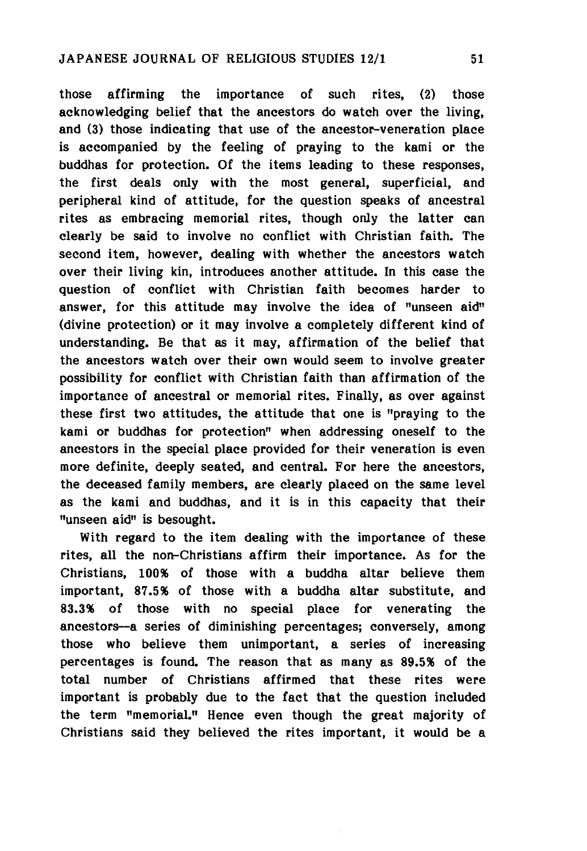those affirming the importance of such rites, ⑵ those acknowledging belief that the ancestors do watch over the living, and (3) those indicating that use of the ancestor-veneration place is accompanied by the feeling of praying to the kami or the buddhas for protection. Of the items leading to these responses, the first deals only with the most general, superficial, and peripheral kind of attitude, for the question speaks of ancestral rites as embracing memorial rites, though only the latter can clearly be said to involve no conflict with Christian faith. The second item, however, dealing with whether the ancestors watch over their living kin, introduces another attitude. In this case the question of conflict with Christian faith becomes harder to answer, for this attitude may involve the idea of "unseen aid" (divine protection) or it may involve a completely different kind of understanding. Be that as it may, affirmation of the belief that the ancestors watch over their own would seem to involve greater possibility for conflict with Christian faith than affirmation of the importance of ancestral or memorial rites. Finally, as over against these first two attitudes, the attitude that one is "praying to the kami or buddhas for protection" when addressing oneself to the ancestors in the special place provided for their veneration is even more definite, deeply seated, and central. For here the ancestors, the deceased family members, are clearly placed on the same level as the kami and buddhas, and it is in this capacity that their "unseen aid" is besought.

With regard to the item dealing with the importance of these rites, all the non-Christians affirm their importance. As for the Christians, 100% of those with a buddha altar believe them important, 87.5% of those with a buddha altar substitute, and 83.3% of those with no special place for venerating the ancestors—a series of diminishing percentages; conversely, among those who believe them unimportant, a series of increasing percentages is found. The reason that as many as 89.5% of the total number of Christians affirmed that these rites were important is probably due to the fact that the question included the term "memorial." Hence even though the great majority of Christians said they believed the rites important, it would be a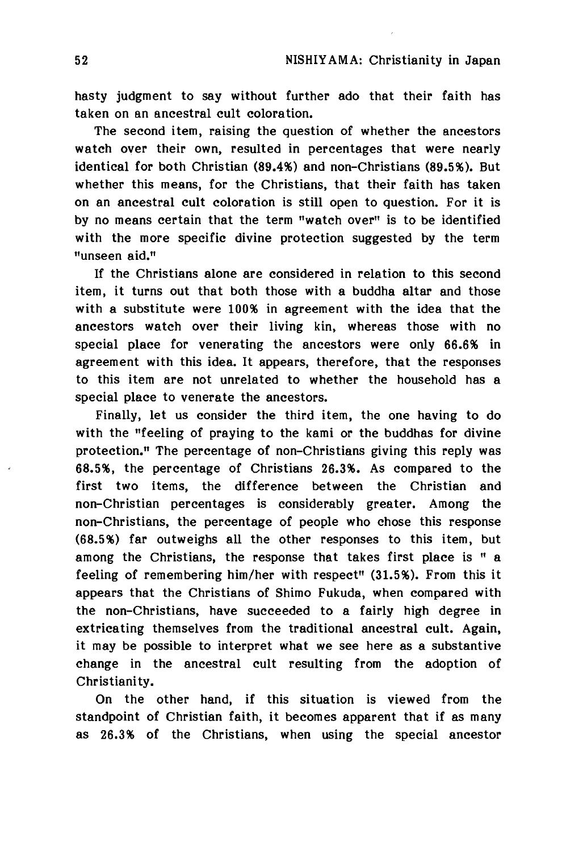hasty judgment to say without further ado that their faith has taken on an ancestral cult coloration.

The second item, raising the question of whether the ancestors watch over their own, resulted in percentages that were nearly identical for both Christian (89.4%) and non-Christians (89.5%). But whether this means, for the Christians, that their faith has taken on an ancestral cult coloration is still open to question. For it is by no means certain that the term "watch over" is to be identified with the more specific divine protection suggested by the term "unseen aid."

If the Christians alone are considered in relation to this second item, it turns out that both those with a buddha altar and those with a substitute were 100% in agreement with the idea that the ancestors watch over their living kin, whereas those with no special place for venerating the ancestors were only 66.6% in agreement with this idea. It appears, therefore, that the responses to this item are not unrelated to whether the household has a special place to venerate the ancestors.

Finally, let us consider the third item, the one having to do with the "feeling of praying to the kami or the buddhas for divine protection." The percentage of non-Christians giving this reply was 68.5%, the percentage of Christians 26.3%. As compared to the first two items, the difference between the Christian and non-Christian percentages is considerably greater. Among the non-Christians, the percentage of people who chose this response (68.5%) far outweighs all the other responses to this item, but among the Christians, the response that takes first place is " a feeling of remembering him/her with respect" (31.5%). From this it appears that the Christians of Shimo Fukuda, when compared with the non-Christians, have succeeded to a fairly high degree in extricating themselves from the traditional ancestral cult. Again, it may be possible to interpret what we see here as a substantive change in the ancestral cult resulting from the adoption of Christianity.

On the other hand, if this situation is viewed from the standpoint of Christian faith, it becomes apparent that if as many as 26.3% of the Christians, when using the special ancestor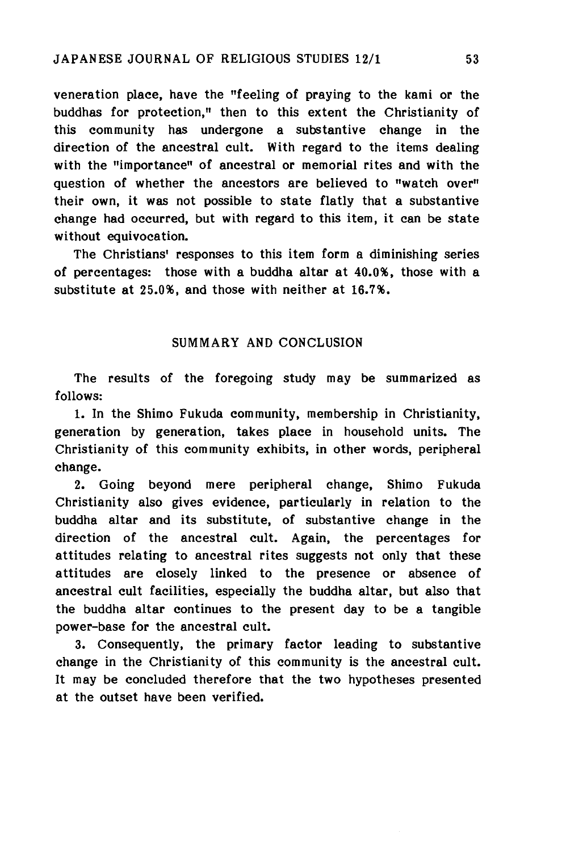veneration place, have the "feeling of praying to the kami or the buddhas for protection," then to this extent the Christianity of this community has undergone a substantive change in the direction of the ancestral cult. With regard to the items dealing with the "importance" of ancestral or memorial rites and with the question of whether the ancestors are believed to "watch over" their own, it was not possible to state flatly that a substantive change had occurred, but with regard to this item, it can be state without equivocation.

The Christians' responses to this item form a diminishing series of percentages: those with a buddha altar at  $40.0\%$ , those with a substitute at 25.0%, and those with neither at 16.7%.

## SUMMARY AND CONCLUSION

The results of the foregoing study may be summarized as follows

1. In the Shimo Fukuda community, membership in Christianity, generation by generation, takes place in household units. The Christianity of this community exhibits, in other words, peripheral change.

2. Going beyond mere peripheral change, Shimo Fukuda Christianity also gives evidence, particularly in relation to the buddha altar and its substitute, of substantive change in the direction of the ancestral cult. Again, the percentages for attitudes relating to ancestral rites suggests not only that these attitudes are closely linked to the presence or absence of ancestral cult facilities, especially the buddha altar, but also that the buddha altar continues to the present day to be a tangible power-base for the ancestral cult.

3. Consequently, the primary factor leading to substantive change in the Christianity of this community is the ancestral cult. It may be concluded therefore that the two hypotheses presented at the outset have been verified.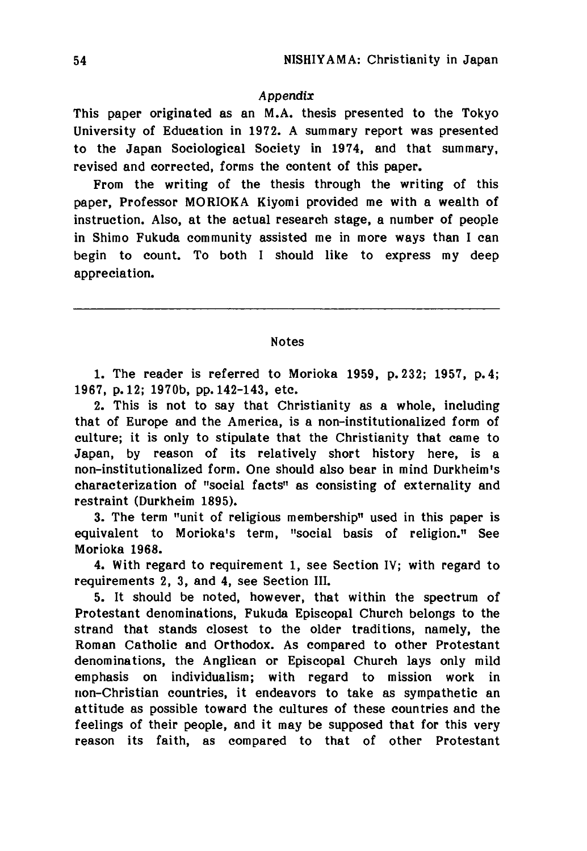### *Appendix*

This paper originated as an M.A. thesis presented to the Tokyo University of Education in 1972. A summary report was presented to the Japan Sociological Society in 1974, and that summary, revised and corrected, forms the content of this paper.

From the writing of the thesis through the writing of this paper, Professor MORIOKA Kiyomi provided me with a wealth of instruction. Also, at the actual research stage, a number of people in Shimo Fukuda community assisted me in more ways than I can begin to count. To both I should like to express my deep appreciation.

Notes

1. The reader is referred to Morioka 1959, p. 232; 1957, p. 4; 1967, p. 12; 1970b, pp. 142-143, etc.

2. This is not to say that Christianity as a whole, including that of Europe and the America, is a non-institutionalized form of culture; it is only to stipulate that the Christianity that came to Japan, by reason of its relatively short history here, is a non-institutionalized form. One should also bear in mind Durkheim's characterization of "social facts" as consisting of externality and restraint (Durkheim 1895).

3. The term "unit of religious membership" used in this paper is equivalent to Morioka's term, "social basis of religion." See Morioka 1968.

4. With regard to requirement 1, see Section IV; with regard to requirements *2,* 3, and 4, see Section III.

5. It should be noted, however, that within the spectrum of Protestant denominations, Fukuda Episcopal Church belongs to the strand that stands closest to the older traditions, namely, the Roman Catholic and Orthodox. As compared to other Protestant denominations, the Anglican or Episcopal Church lays only mild emphasis on individualism; with regard to mission work in non-Christian countries, it endeavors to take as sympathetic an attitude as possible toward the cultures of these countries and the feelings of their people, and it may be supposed that for this very reason its faith, as compared to that of other Protestant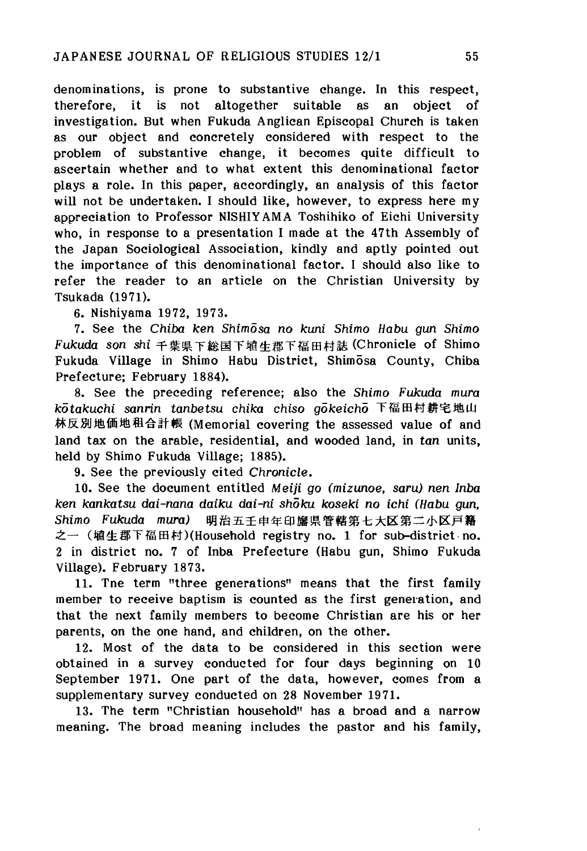denominations, is prone to substantive change. In this respect, therefore, it is not altogether suitable as an object of investigation. But when Fukuda Anglican Episcopal Church is taken as our object and concretely considered with respect to the problem of substantive change, it becomes quite difficult to ascertain whether and to what extent this denominational factor plays a role. In this paper, accordingly, an analysis of this factor will not be undertaken. I should like, however, to express here my appreciation to Professor NISHIYAMA Toshihiko of Eichi University who, in response to a presentation I made at the 47th Assembly of the Japan Sociological Association, kindly and aptly pointed out the importance of this denominational factor. I should also like to refer the reader to an article on the Christian University by Tsukada (1971).

6. Nishiyama 1972, 1973.

7. See the *Chiba ken Shimosa no kurti Shimo Habu gun Shimo Fukuda son shi*千葉県下総国下埴生郡下福田村誌 (Chronicle of Shimo Fukuda Village in Shimo Habu District, Shim5sa County, Chiba Prefecture; February 1884).

8. See the preceding reference; also the *Shimo Fukuda mura kotakuchi sanrin tanbetsu chika chiso gdkeicho* 下福田村耕宅地山 林反別地価地租合計帳 (Memorial covering the assessed value of and land tax on the arable, residential, and wooded land, in *tan* units, held by Shimo Fukuda Village; 1885).

9. See the previously cited *Chronicle.*

10. See the document entitled *Meiji go (mizunoe, saru) nen Inba ken kankatsa dai-nana daika* dai-ni *shoku koseki no ichi (Habu gunt Shimo Fukuda mura*) 明治五壬申年印旛県管轄第七大区第二小区戸籍 之一 (埴生郡下福田村)(Household registry no. 1 for sub-district no. 2 in district no. 7 of Inba Prefecture (Habu gun, Shimo Fukuda Village). February 1873.

11. Tne term "three generations" means that the first family member to receive baptism is counted as the first generation, and that the next family members to become Christian are his or her parents, on the one hand, and children, on the other.

12. Most of the data to be considered in this section were obtained in a survey conducted for four days beginning on 10 September 1971. One part of the data, however, comes from a supplementary survey conducted on 28 November 1971.

13. The term "Christian household" has a broad and a narrow meaning. The broad meaning includes the pastor and his family,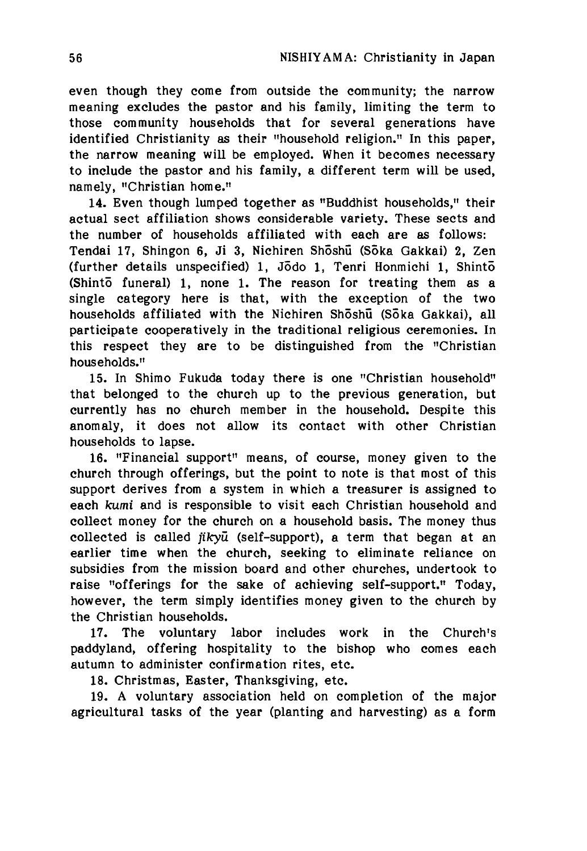even though they come from outside the community; the narrow meaning excludes the pastor and his family, limiting the term to those community households that for several generations have identified Christianity as their "household religion." In this paper, the narrow meaning will be employed. When it becomes necessary to include the pastor and his family, a different term will be used, namely, "Christian home."

14. Even though lumped together as "Buddhist households," their actual sect affiliation shows considerable variety. These sects and the number of households affiliated with each are as follows: Tendai 17, Shingon 6, Ji 3, Nichiren Shoshu (Soka Gakkai) 2, Zen (further details unspecified) 1, Jodo 1, Tenri Honmichi 1, Shinto (Shinto funeral) 1, none 1. The reason for treating them as a single category here is that, with the exception of the two households affiliated with the Nichiren Shoshu (Soka Gakkai), all participate cooperatively in the traditional religious ceremonies. In this respect they are to be distinguished from the "Christian households."

15. In Shimo Fukuda today there is one "Christian household" that belonged to the church up to the previous generation, but currently has no church member in the household. Despite this anomaly, it does not allow its contact with other Christian households to lapse.

16. "Financial support" means, of course, money given to the church through offerings, but the point to note is that most of this support derives from a system in which a treasurer is assigned to each *kami* and is responsible to visit each Christian household and collect money for the church on a household basis. The money thus collected is called *jikyu* (self-support), a term that began at an earlier time when the church, seeking to eliminate reliance on subsidies from the mission board and other churches, undertook to raise "offerings for the sake of achieving self-support." Today, however, the term simply identifies money given to the church by the Christian households.

17. The voluntary labor includes work in the Church's paddyland, offering hospitality to the bishop who comes each autumn to administer confirmation rites, etc.

18. Christmas, Easter, Thanksgiving, etc.

19. A voluntary association held on completion of the major agricultural tasks of the year (planting and harvesting) as a form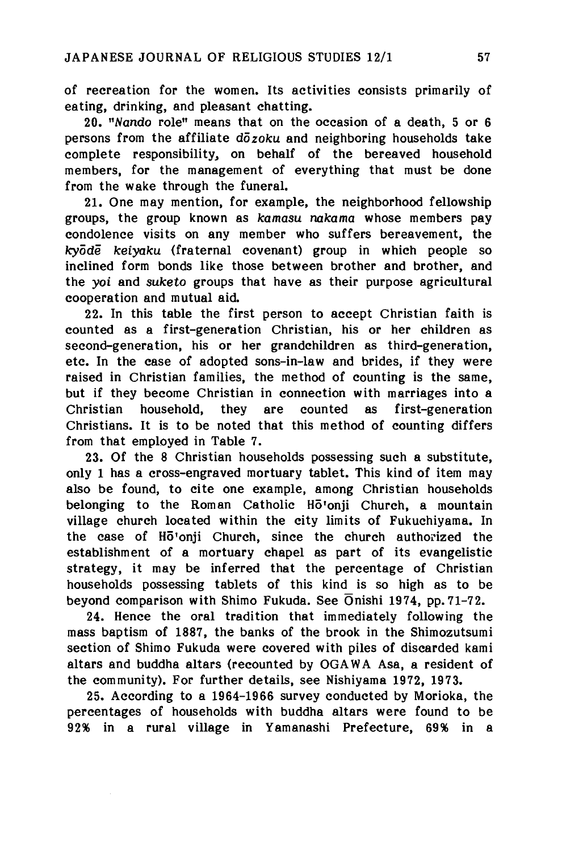of recreation for the women. Its activities consists primarily of eating, drinking, and pleasant chatting.

20. *vNando* role" means that on the occasion of a death, 5 or 6 persons from the affiliate *dozoku* and neighboring households take complete responsibility, on behalf of the bereaved household members, for the management of everything that must be done from the wake through the funeral.

21. One may mention, for example, the neighborhood fellowship groups, the group known as *kamasu nakama* whose members pay condolence visits on any member who suffers bereavement, the *kyode keiyaku* (fraternal covenant) group in which people so inclined form bonds like those between brother and brother, and the *yoi* and *suketo* groups that have as their purpose agricultural cooperation and mutual aid.

22. In this table the first person to accept Christian faith is counted as a first-generation Christian, his or her children as second-generation, his or her grandchildren as third-generation, etc. In the case of adopted sons-in-law and brides, if they were raised in Christian families, the method of counting is the same, but if they become Christian in connection with marriages into a Christian household, they are counted as first-generation Christians. It is to be noted that this method of counting differs from that employed in Table 7.

23. Of the 8 Christian households possessing such a substitute, only 1 has a cross-engraved mortuary tablet. This kind of item may also be found, to cite one example, among Christian households belonging to the Roman Catholic Ho'onji Church, a mountain village church located within the city limits of Fukuchiyama. In the case of Ho'onji Church, since the church authorized the establishment of a mortuary chapel as part of its evangelistic strategy, it may be inferred that the percentage of Christian households possessing tablets of this kind is so high as to be beyond comparison with Shimo Fukuda. See Onishi 1974, pp. 71-72.

24. Hence the oral tradition that immediately following the mass baptism of 1887, the banks of the brook in the Shimozutsumi section of Shimo Fukuda were covered with piles of discarded kami altars and buddha altars (recounted by OGAWA Asa, a resident of the community). For further details, see Nishiyama 1972, 1973.

25. According to a 1964-1966 survey conducted by Morioka, the percentages of households with buddha altars were found to be 92% in a rural village in Yamanashi Prefecture, 69% in a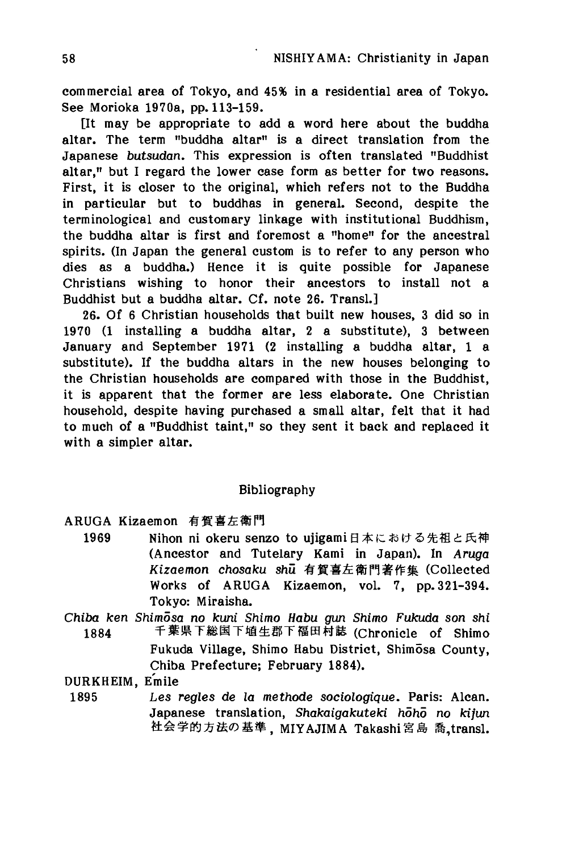commercial area of Tokyo, and 45% in a residential area of Tokyo. See Morioka 1970a, pp. 113-159.

[It may be appropriate to add a word here about the buddha altar. The term "buddha altar" is a direct translation from the Japanese *butsudan.* This expression is often translated "Buddhist altar," but I regard the lower case form as better for two reasons. First, it is closer to the original, which refers not to the Buddha in particular but to buddhas in general. Second, despite the terminological and customary linkage with institutional Buddhism, the buddha altar is first and foremost a "home" fop the ancestral spirits. (In Japan the general custom is to refer to any person who dies as a buddha.) Hence it is quite possible for Japanese Christians wishing to honor their ancestors to install not a Buddhist but a buddha altar. Cf. note 26. Transl.]

26. Of 6 Christian households that built new houses, 3 did so in 1970 (1 installing a buddha altar, 2 a substitute), 3 between January and September 1971 (2 installing a buddha altar, 1 a substitute). If the buddha altars in the new houses belonging to the Christian households are compared with those in the Buddhist, it is apparent that the former are less elaborate. One Christian household, despite having purchased a small altar, felt that it had to much of a "Buddhist taint," so they sent it back and replaced it with a simpler altar.

## Bibliography

- ARUGA Kizaemon 有賀喜左衛門
	- 1969 Nihon ni okeru senzo to ujigami日本における先祖と氏神 (Ancestor and Tutelary Kami in Japan). In *Aruga Kizaemon chosaka* shu 有賀喜左衛門著作集 (Collected Works of ARUGA Kizaemon, vol. 7, pp. 321-394. Tokyo: Miraisha.
- *Chiba ken Shimosa no kuni Shimo Habu gun Shimo Fukuda son shi* 千葉県下総国下埴生郡下福田村誌 (Chronicle of Shimo 1884 Fukuda Village, Shimo Habu District, Shimosa County, Chiba Prefecture; February 1884).

DURKHEIM, Emile

1895 *Les regies* de *la methode sociologique.* Paris: Alcan. Japanese translation, *Shakaigakuteki hoho no kijun* 社会学的方法の基準, MIYAJIMA Takashi宮島 喬 transl.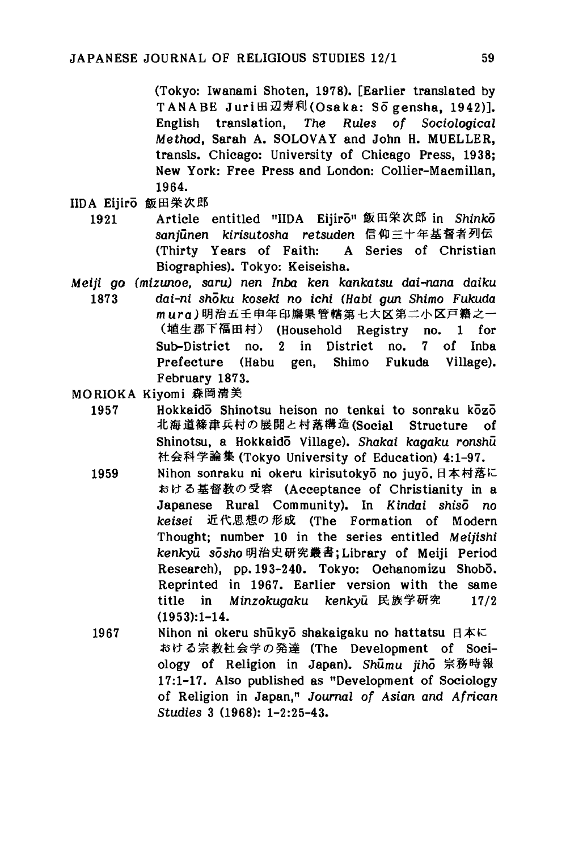(Tokyo: Iwanami Shoten, 1978). [Earlier translated by TANABE Juri田辺寿利(Osaka: Sō gensha, 1942)]. English translation, *The Rules of Sociological Method,* Sarah A. SOLOVAY and John H. MUELLER, transls. Chicago: University of Chicago Press, 1938; New York: Free Press and London: Collier-Macmillan, 1964.

- IIDA Eijiro 飯田栄次郎
	- 1921 Article entitled "IIDA Eijiro" 飯田栄次郎 in *Shinko sanjunen kirisatosha retsaden*信仰三十年基督者列伝 (Thirty Years of Faith: A Series of Christian Biographies). Tokyo: Keiseisha.
- *Meiji go (mizunoe, saru) nen Inba ken kankatsu dai-nana daiku* 1873 *dai-ni shoku koseki no ichi (Habi gun Shimo Fukuda* mura) 明治五壬申年印旛県管轄第七大区第二小区戸籍之一 (埴生郡下福田村) (Household Registry no.1 for Sub-District no. 2 in District no. 7 of Inba Prefecture (Habu gen, Shimo Fukuda Village). February 1873.

MORIOKA Kiyomi 森岡清美

1957 Hokkaido Shinotsu heison no tenkai to sonraku kozo 北海道條津兵村の展開と村落構造(Social Structure of Shinotsu, a Hokkaido Village). *Shakai kagaku ronsha* 社会科学論集 (Tokyo University of Education) 4:1-97.

- 1959 Nihon sonraku ni okeru kirisutokyō no juyō. 日本村落に おける基督教の受容 (Acceptance of Christianity in a Japanese Rural Community). In Kindai *shiso no* keisei 近代思想の形成 (The Formation of Modern Thought; number 10 in the series entitled *Meijishi kertkya* s5sho 明治史研究叢書;Library of Meiji Period Research), pp. 193-240. Tokyo: Ochanomizu Shobo. Reprinted in 1967. Earlier version with the same title in Minzokugaku kenkvu 民族学研究 17/2 (1953):1-14.
- 1967 Nihon ni okeru shukyo shakaigaku no hattatsu 日本に おける宗教社会学の発達 (The Development of Sociology of Religion in Japan). Shumu *jihd* 宗務時報 17:1-17. Also published as "Development of Sociology of Religion in Japan/1 *Journal of Asian and African Studies* 3 (1968): 1-2:25-43.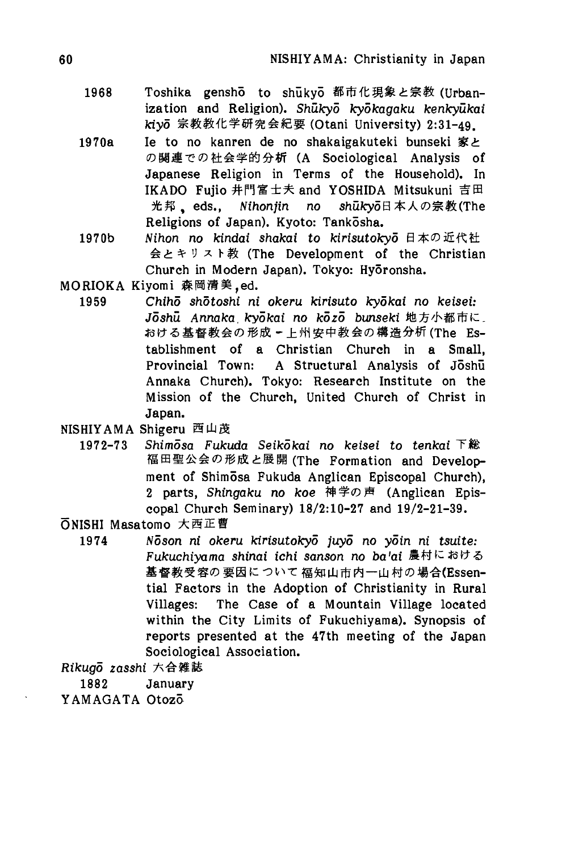- 1968 Toshika gensho to shukyo 都市化現象と宗教 (Urbanization and Religion). *Shukyo kydkagaka kerxkyakai kiyo*宗教教化学研究会紀要(Otani University) 2:31-49.
- 1970a Ie to no kanren de no shakaigakuteki bunseki 家と の関連での社会学的分析 (A Sociological Analysis of Japanese Religion in Terms of the Household). In IKADO Fujio 井門富士夫 and YOSHIDA Mitsukuni 吉田 光邦, eds., Nihonjin no shukyo日本人の宗教(The Religions of Japan). Kyoto: Tankosha.
- 1970b *Nihon no kindai shakai to kirisutokyo* 日本の近代社 会とキリスト教 (The Development of the Christian Church in Modern Japan). Tokyo: Hyōronsha.
- MORIOKA Kiyomi 森岡清美,ed.
	- 1959 *Chiho shotoshi ni okeru kirisuto kydkai no keisei: Joshu Anrtaka. kyokai no kozo bunseki* 地方小都市に\_ おける基督教会の形成〃上州安中教会の構造分析(The Establishment of a Christian Church in a Small, Provincial Town: A Structural Analysis of Joshu Annaka Church). Tokyo: Research Institute on the Mission of the Church, United Church of Christ in Japan.
- NISHIYAMA Shigeru 西山茂
	- 1972-73 *Shimosa Fukuda Seikokai no keisei to tenkai* 下総 福田聖公会の形成と展開 (The Formation and Development of Shimosa Fukuda Anglican Episcopal Church), 2 parts, *Shingaku no koe* 神学の声 (Anglican Episcopal Church Seminary) 18/2:10-27 and 19/2-21-39.

ONISHI Masatomo 大西正曹

1974 *Ndson ni okeru kirisutokyo juyo no yoin ni tsuite: Fukuchiyama shinai ichi sanson no bafai* 農村における 基督教受容の要因について福知山市内一山村の場合(Essential Factors in the Adoption of Christianity in Rural Villages: The Case of a Mountain Village located within the City Limits of Fukuchiyama). Synopsis of reports presented at the 47th meeting of the Japan Sociological Association.

*Rikugo zasshi*六合雑誌

1882 January

YAMAGATA Otozo